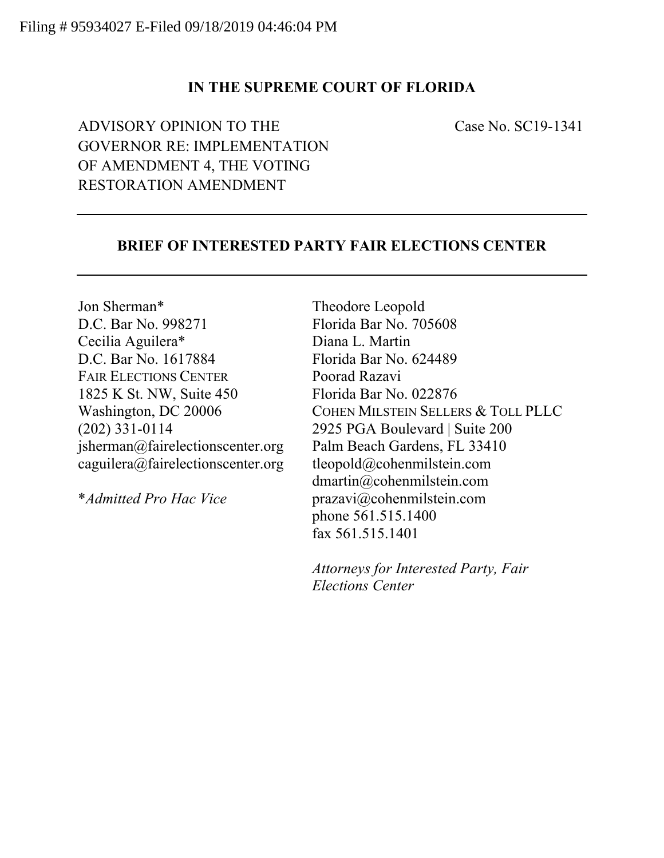# **IN THE SUPREME COURT OF FLORIDA**

ADVISORY OPINION TO THE Case No. SC19-1341 GOVERNOR RE: IMPLEMENTATION OF AMENDMENT 4, THE VOTING RESTORATION AMENDMENT

### **BRIEF OF INTERESTED PARTY FAIR ELECTIONS CENTER**

Jon Sherman\* Theodore Leopold D.C. Bar No. 998271 Florida Bar No. 705608 Cecilia Aguilera\* Diana L. Martin D.C. Bar No. 1617884 Florida Bar No. 624489 FAIR ELECTIONS CENTER Poorad Razavi 1825 K St. NW, Suite 450 Florida Bar No. 022876 (202) 331-0114 2925 PGA Boulevard | Suite 200 jsherman@fairelectionscenter.org Palm Beach Gardens, FL 33410 caguilera@fairelectionscenter.org tleopold@cohenmilstein.com

Washington, DC 20006 COHEN MILSTEIN SELLERS & TOLL PLLC dmartin@cohenmilstein.com \**Admitted Pro Hac Vice* prazavi@cohenmilstein.com phone 561.515.1400 fax 561.515.1401

> *Attorneys for Interested Party, Fair Elections Center*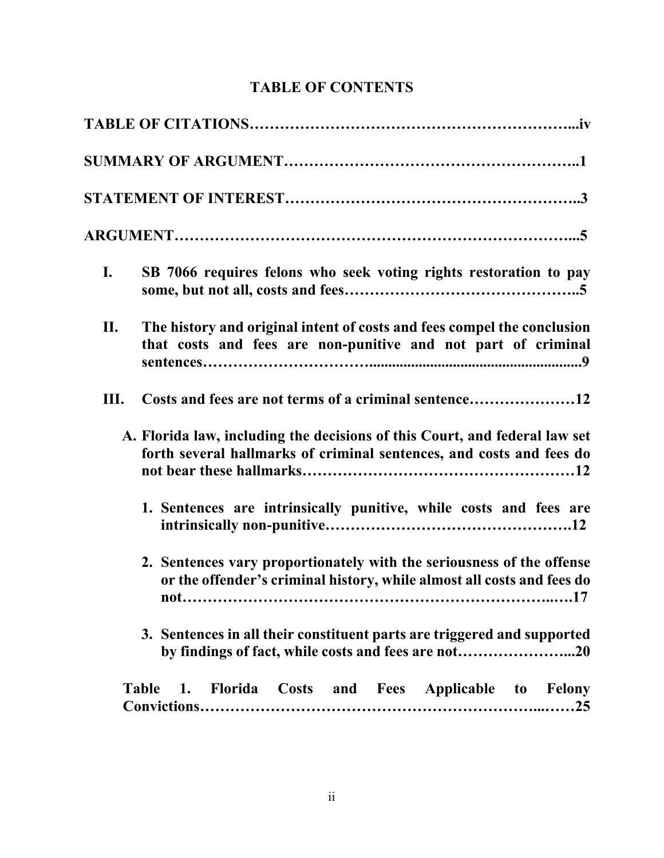# **TABLE OF CONTENTS**

| $\mathbf{I}$ . | SB 7066 requires felons who seek voting rights restoration to pay                                                                                  |
|----------------|----------------------------------------------------------------------------------------------------------------------------------------------------|
| П.             | The history and original intent of costs and fees compel the conclusion<br>that costs and fees are non-punitive and not part of criminal           |
| Ш.             | Costs and fees are not terms of a criminal sentence12                                                                                              |
|                | A. Florida law, including the decisions of this Court, and federal law set<br>forth several hallmarks of criminal sentences, and costs and fees do |
|                | 1. Sentences are intrinsically punitive, while costs and fees are                                                                                  |
|                | 2. Sentences vary proportionately with the seriousness of the offense<br>or the offender's criminal history, while almost all costs and fees do    |
|                | 3. Sentences in all their constituent parts are triggered and supported<br>by findings of fact, while costs and fees are not20                     |
|                | 1. Florida Costs and Fees Applicable to Felony<br><b>Table</b>                                                                                     |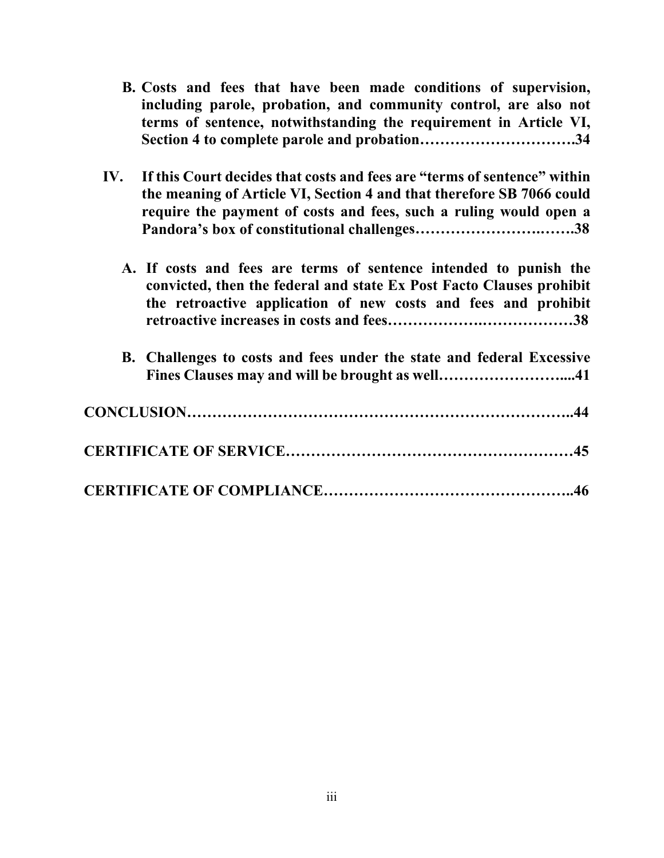- **B. Costs and fees that have been made conditions of supervision, including parole, probation, and community control, are also not terms of sentence, notwithstanding the requirement in Article VI, Section 4 to complete parole and probation………………………….34**
- **IV. If this Court decides that costs and fees are "terms of sentence" within the meaning of Article VI, Section 4 and that therefore SB 7066 could require the payment of costs and fees, such a ruling would open a Pandora's box of constitutional challenges…………………….…….38** 
	- **A. If costs and fees are terms of sentence intended to punish the convicted, then the federal and state Ex Post Facto Clauses prohibit the retroactive application of new costs and fees and prohibit retroactive increases in costs and fees……………….………………38**
	- **B. Challenges to costs and fees under the state and federal Excessive Fines Clauses may and will be brought as well……………………....41**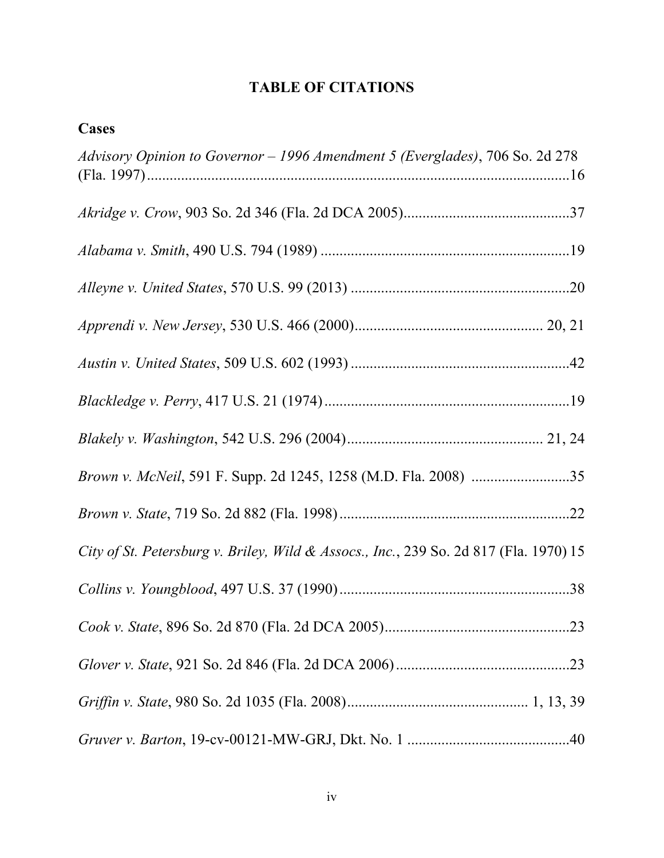# **TABLE OF CITATIONS**

| <b>Cases</b>                                                                          |
|---------------------------------------------------------------------------------------|
| Advisory Opinion to Governor - 1996 Amendment 5 (Everglades), 706 So. 2d 278          |
|                                                                                       |
|                                                                                       |
|                                                                                       |
|                                                                                       |
|                                                                                       |
|                                                                                       |
|                                                                                       |
|                                                                                       |
|                                                                                       |
| City of St. Petersburg v. Briley, Wild & Assocs., Inc., 239 So. 2d 817 (Fla. 1970) 15 |
|                                                                                       |
|                                                                                       |
|                                                                                       |
|                                                                                       |
|                                                                                       |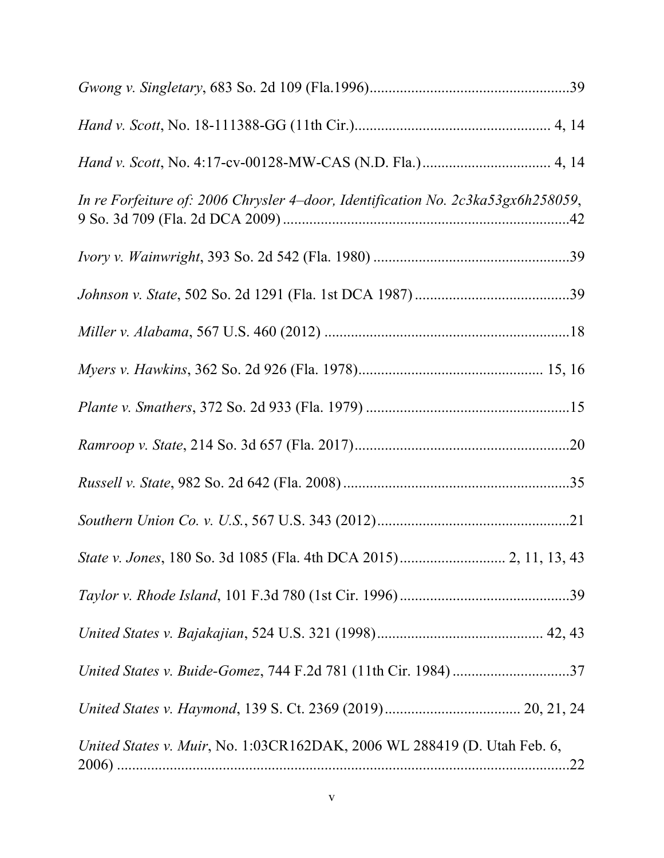| In re Forfeiture of: 2006 Chrysler 4-door, Identification No. 2c3ka53gx6h258059, |
|----------------------------------------------------------------------------------|
|                                                                                  |
|                                                                                  |
|                                                                                  |
|                                                                                  |
|                                                                                  |
|                                                                                  |
|                                                                                  |
|                                                                                  |
|                                                                                  |
|                                                                                  |
|                                                                                  |
|                                                                                  |
|                                                                                  |
| United States v. Muir, No. 1:03CR162DAK, 2006 WL 288419 (D. Utah Feb. 6,<br>.22  |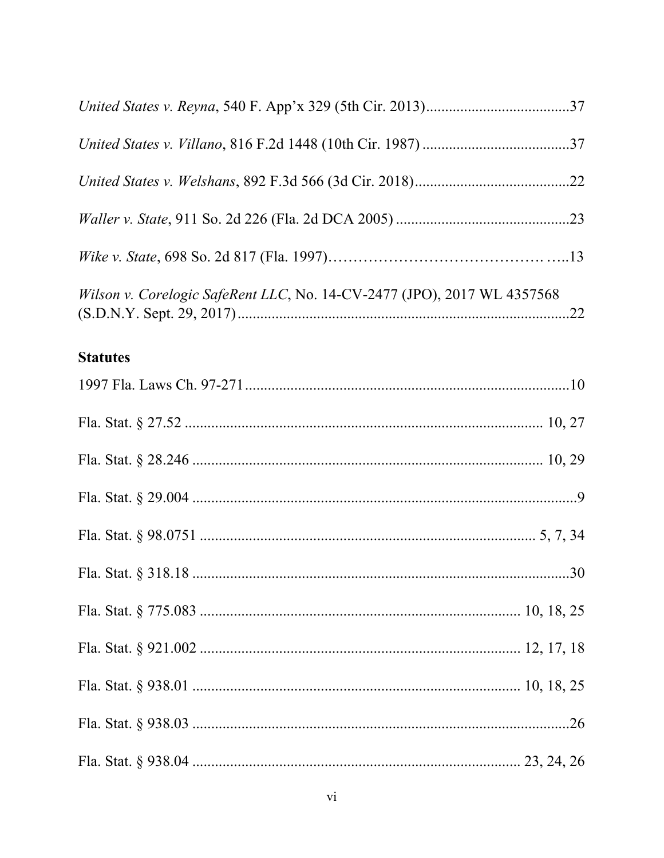| Wilson v. Corelogic SafeRent LLC, No. 14-CV-2477 (JPO), 2017 WL 4357568 |  |
|-------------------------------------------------------------------------|--|
| <b>Statutes</b>                                                         |  |
|                                                                         |  |
|                                                                         |  |
|                                                                         |  |
|                                                                         |  |
|                                                                         |  |
|                                                                         |  |
|                                                                         |  |
|                                                                         |  |
|                                                                         |  |
|                                                                         |  |
|                                                                         |  |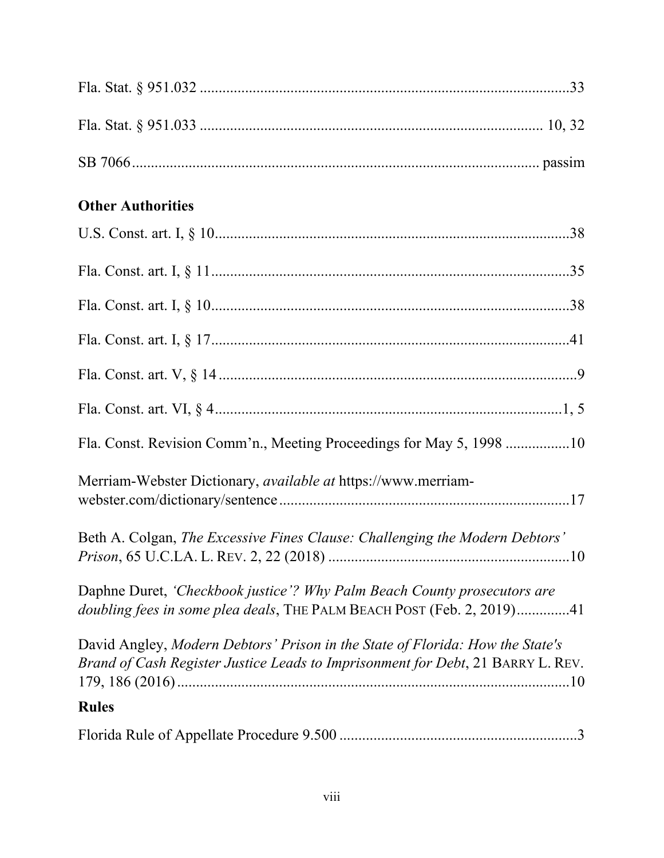| <b>Other Authorities</b>                                                                                                                                         |
|------------------------------------------------------------------------------------------------------------------------------------------------------------------|
|                                                                                                                                                                  |
|                                                                                                                                                                  |
|                                                                                                                                                                  |
|                                                                                                                                                                  |
|                                                                                                                                                                  |
|                                                                                                                                                                  |
| Fla. Const. Revision Comm'n., Meeting Proceedings for May 5, 1998 10                                                                                             |
| Merriam-Webster Dictionary, <i>available at</i> https://www.merriam-                                                                                             |
| Beth A. Colgan, The Excessive Fines Clause: Challenging the Modern Debtors'                                                                                      |
| Daphne Duret, 'Checkbook justice'? Why Palm Beach County prosecutors are<br>doubling fees in some plea deals, THE PALM BEACH POST (Feb. 2, 2019)41               |
| David Angley, Modern Debtors' Prison in the State of Florida: How the State's<br>Brand of Cash Register Justice Leads to Imprisonment for Debt, 21 BARRY L. REV. |
| <b>Rules</b>                                                                                                                                                     |
|                                                                                                                                                                  |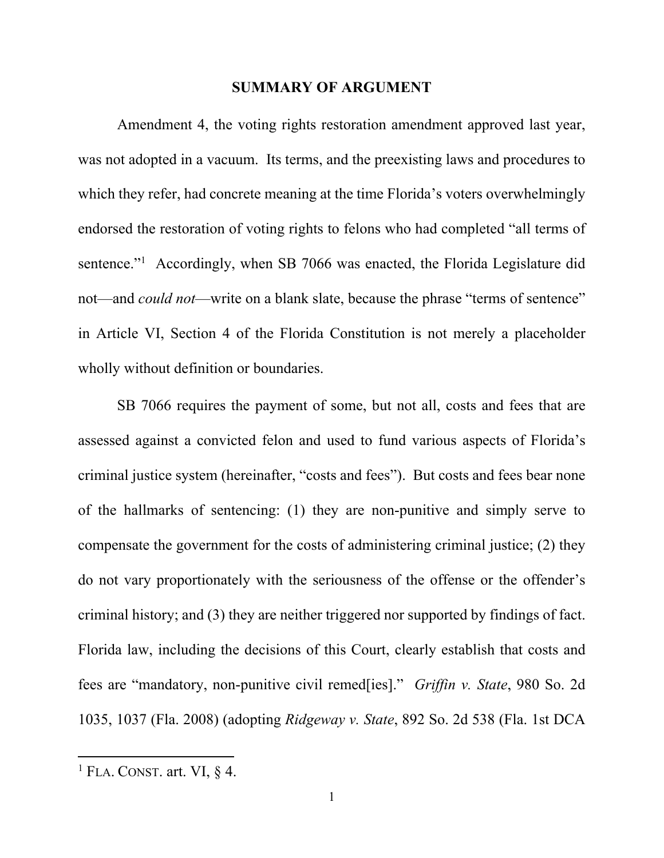#### **SUMMARY OF ARGUMENT**

 Amendment 4, the voting rights restoration amendment approved last year, was not adopted in a vacuum. Its terms, and the preexisting laws and procedures to which they refer, had concrete meaning at the time Florida's voters overwhelmingly endorsed the restoration of voting rights to felons who had completed "all terms of sentence."<sup>1</sup> Accordingly, when SB 7066 was enacted, the Florida Legislature did not—and *could not*—write on a blank slate, because the phrase "terms of sentence" in Article VI, Section 4 of the Florida Constitution is not merely a placeholder wholly without definition or boundaries.

SB 7066 requires the payment of some, but not all, costs and fees that are assessed against a convicted felon and used to fund various aspects of Florida's criminal justice system (hereinafter, "costs and fees"). But costs and fees bear none of the hallmarks of sentencing: (1) they are non-punitive and simply serve to compensate the government for the costs of administering criminal justice; (2) they do not vary proportionately with the seriousness of the offense or the offender's criminal history; and (3) they are neither triggered nor supported by findings of fact. Florida law, including the decisions of this Court, clearly establish that costs and fees are "mandatory, non-punitive civil remed[ies]." *Griffin v. State*, 980 So. 2d 1035, 1037 (Fla. 2008) (adopting *Ridgeway v. State*, 892 So. 2d 538 (Fla. 1st DCA

 <sup>1</sup> FLA. CONST. art. VI,  $\S$  4.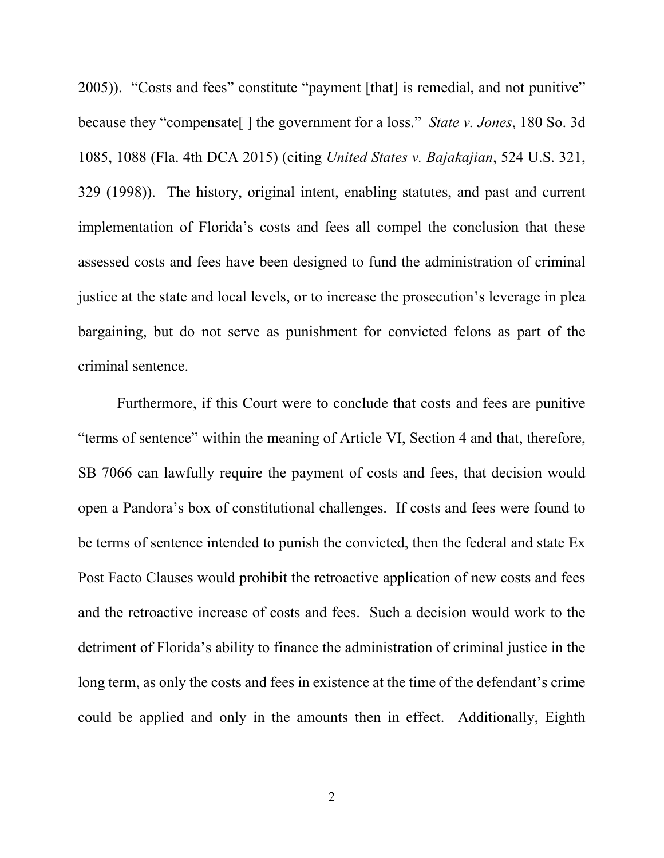2005)). "Costs and fees" constitute "payment [that] is remedial, and not punitive" because they "compensate[ ] the government for a loss." *State v. Jones*, 180 So. 3d 1085, 1088 (Fla. 4th DCA 2015) (citing *United States v. Bajakajian*, 524 U.S. 321, 329 (1998)). The history, original intent, enabling statutes, and past and current implementation of Florida's costs and fees all compel the conclusion that these assessed costs and fees have been designed to fund the administration of criminal justice at the state and local levels, or to increase the prosecution's leverage in plea bargaining, but do not serve as punishment for convicted felons as part of the criminal sentence.

 Furthermore, if this Court were to conclude that costs and fees are punitive "terms of sentence" within the meaning of Article VI, Section 4 and that, therefore, SB 7066 can lawfully require the payment of costs and fees, that decision would open a Pandora's box of constitutional challenges. If costs and fees were found to be terms of sentence intended to punish the convicted, then the federal and state Ex Post Facto Clauses would prohibit the retroactive application of new costs and fees and the retroactive increase of costs and fees. Such a decision would work to the detriment of Florida's ability to finance the administration of criminal justice in the long term, as only the costs and fees in existence at the time of the defendant's crime could be applied and only in the amounts then in effect. Additionally, Eighth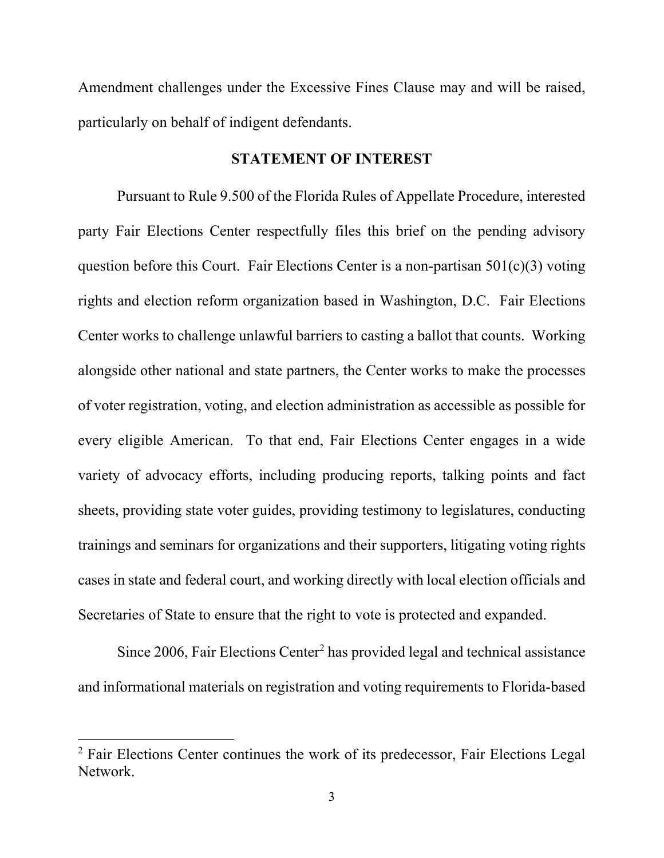Amendment challenges under the Excessive Fines Clause may and will be raised, particularly on behalf of indigent defendants.

#### **STATEMENT OF INTEREST**

 Pursuant to Rule 9.500 of the Florida Rules of Appellate Procedure, interested party Fair Elections Center respectfully files this brief on the pending advisory question before this Court. Fair Elections Center is a non-partisan 501(c)(3) voting rights and election reform organization based in Washington, D.C. Fair Elections Center works to challenge unlawful barriers to casting a ballot that counts. Working alongside other national and state partners, the Center works to make the processes of voter registration, voting, and election administration as accessible as possible for every eligible American. To that end, Fair Elections Center engages in a wide variety of advocacy efforts, including producing reports, talking points and fact sheets, providing state voter guides, providing testimony to legislatures, conducting trainings and seminars for organizations and their supporters, litigating voting rights cases in state and federal court, and working directly with local election officials and Secretaries of State to ensure that the right to vote is protected and expanded.

Since 2006, Fair Elections Center<sup>2</sup> has provided legal and technical assistance and informational materials on registration and voting requirements to Florida-based

<sup>&</sup>lt;sup>2</sup> Fair Elections Center continues the work of its predecessor, Fair Elections Legal Network.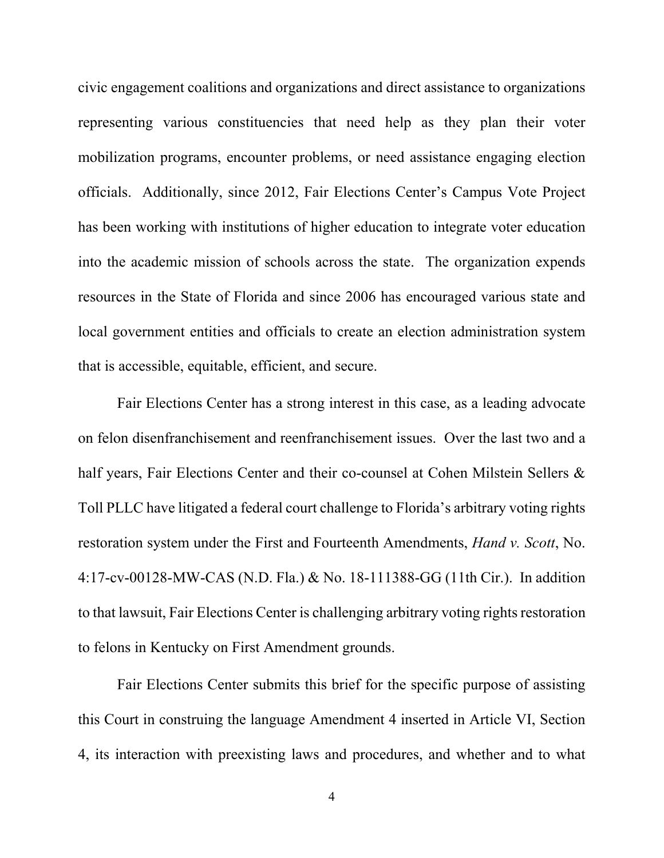civic engagement coalitions and organizations and direct assistance to organizations representing various constituencies that need help as they plan their voter mobilization programs, encounter problems, or need assistance engaging election officials. Additionally, since 2012, Fair Elections Center's Campus Vote Project has been working with institutions of higher education to integrate voter education into the academic mission of schools across the state. The organization expends resources in the State of Florida and since 2006 has encouraged various state and local government entities and officials to create an election administration system that is accessible, equitable, efficient, and secure.

Fair Elections Center has a strong interest in this case, as a leading advocate on felon disenfranchisement and reenfranchisement issues. Over the last two and a half years, Fair Elections Center and their co-counsel at Cohen Milstein Sellers & Toll PLLC have litigated a federal court challenge to Florida's arbitrary voting rights restoration system under the First and Fourteenth Amendments, *Hand v. Scott*, No. 4:17-cv-00128-MW-CAS (N.D. Fla.) & No. 18-111388-GG (11th Cir.). In addition to that lawsuit, Fair Elections Center is challenging arbitrary voting rights restoration to felons in Kentucky on First Amendment grounds.

Fair Elections Center submits this brief for the specific purpose of assisting this Court in construing the language Amendment 4 inserted in Article VI, Section 4, its interaction with preexisting laws and procedures, and whether and to what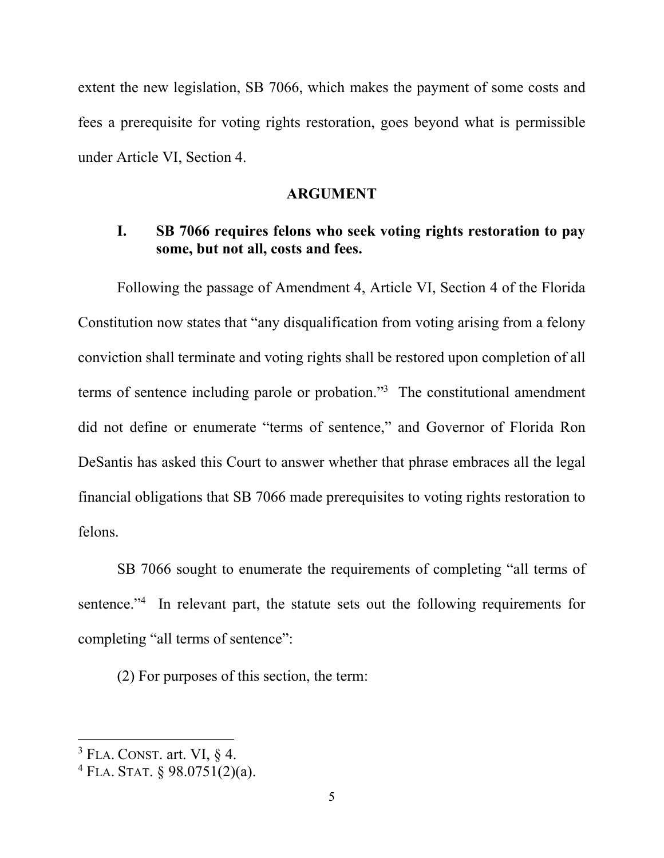extent the new legislation, SB 7066, which makes the payment of some costs and fees a prerequisite for voting rights restoration, goes beyond what is permissible under Article VI, Section 4.

#### **ARGUMENT**

# **I. SB 7066 requires felons who seek voting rights restoration to pay some, but not all, costs and fees.**

Following the passage of Amendment 4, Article VI, Section 4 of the Florida Constitution now states that "any disqualification from voting arising from a felony conviction shall terminate and voting rights shall be restored upon completion of all terms of sentence including parole or probation."3 The constitutional amendment did not define or enumerate "terms of sentence," and Governor of Florida Ron DeSantis has asked this Court to answer whether that phrase embraces all the legal financial obligations that SB 7066 made prerequisites to voting rights restoration to felons.

 SB 7066 sought to enumerate the requirements of completing "all terms of sentence."<sup>4</sup> In relevant part, the statute sets out the following requirements for completing "all terms of sentence":

(2) For purposes of this section, the term:

  $3$  FLA. CONST. art. VI,  $\S$  4.

 $4$  FLA. STAT. § 98.0751(2)(a).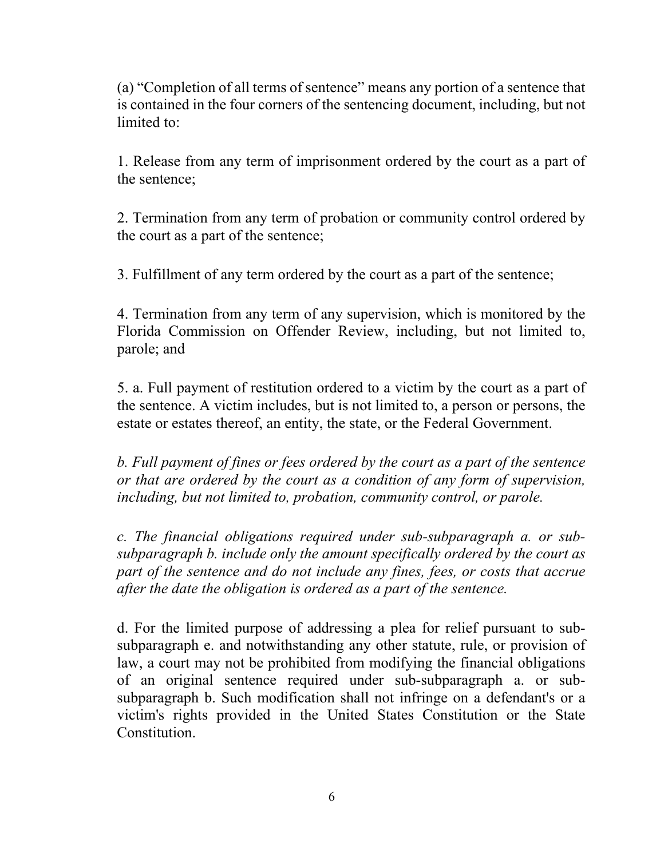(a) "Completion of all terms of sentence" means any portion of a sentence that is contained in the four corners of the sentencing document, including, but not limited to:

1. Release from any term of imprisonment ordered by the court as a part of the sentence;

2. Termination from any term of probation or community control ordered by the court as a part of the sentence;

3. Fulfillment of any term ordered by the court as a part of the sentence;

4. Termination from any term of any supervision, which is monitored by the Florida Commission on Offender Review, including, but not limited to, parole; and

5. a. Full payment of restitution ordered to a victim by the court as a part of the sentence. A victim includes, but is not limited to, a person or persons, the estate or estates thereof, an entity, the state, or the Federal Government.

*b. Full payment of fines or fees ordered by the court as a part of the sentence or that are ordered by the court as a condition of any form of supervision, including, but not limited to, probation, community control, or parole.* 

*c. The financial obligations required under sub-subparagraph a. or subsubparagraph b. include only the amount specifically ordered by the court as part of the sentence and do not include any fines, fees, or costs that accrue after the date the obligation is ordered as a part of the sentence.* 

d. For the limited purpose of addressing a plea for relief pursuant to subsubparagraph e. and notwithstanding any other statute, rule, or provision of law, a court may not be prohibited from modifying the financial obligations of an original sentence required under sub-subparagraph a. or subsubparagraph b. Such modification shall not infringe on a defendant's or a victim's rights provided in the United States Constitution or the State Constitution.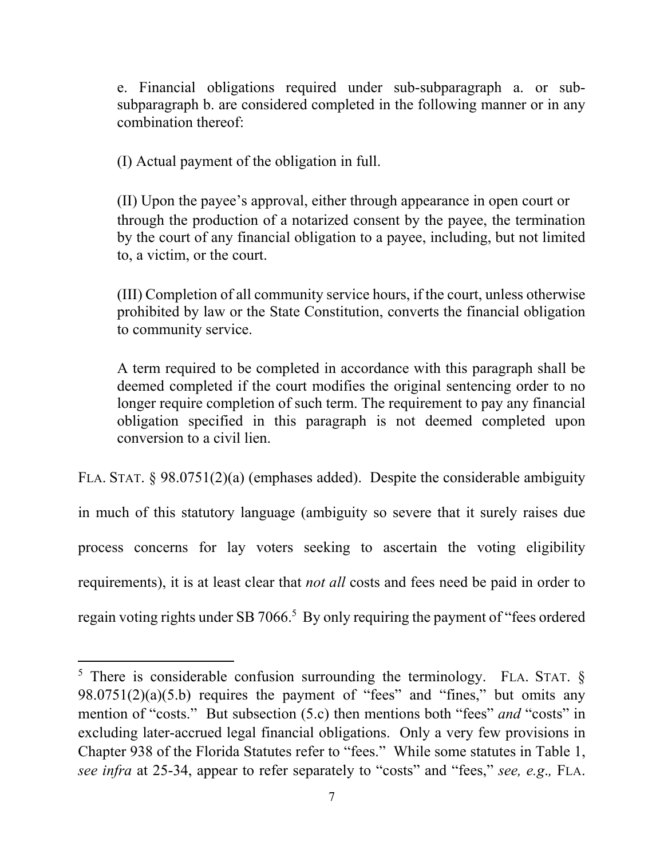e. Financial obligations required under sub-subparagraph a. or subsubparagraph b. are considered completed in the following manner or in any combination thereof:

(I) Actual payment of the obligation in full.

(II) Upon the payee's approval, either through appearance in open court or through the production of a notarized consent by the payee, the termination by the court of any financial obligation to a payee, including, but not limited to, a victim, or the court.

(III) Completion of all community service hours, if the court, unless otherwise prohibited by law or the State Constitution, converts the financial obligation to community service.

A term required to be completed in accordance with this paragraph shall be deemed completed if the court modifies the original sentencing order to no longer require completion of such term. The requirement to pay any financial obligation specified in this paragraph is not deemed completed upon conversion to a civil lien.

FLA. STAT. § 98.0751(2)(a) (emphases added). Despite the considerable ambiguity in much of this statutory language (ambiguity so severe that it surely raises due process concerns for lay voters seeking to ascertain the voting eligibility requirements), it is at least clear that *not all* costs and fees need be paid in order to regain voting rights under SB 7066.<sup>5</sup> By only requiring the payment of "fees ordered

<sup>&</sup>lt;sup>5</sup> There is considerable confusion surrounding the terminology. FLA. STAT.  $\S$  $98.0751(2)(a)(5.b)$  requires the payment of "fees" and "fines," but omits any mention of "costs." But subsection (5.c) then mentions both "fees" *and* "costs" in excluding later-accrued legal financial obligations. Only a very few provisions in Chapter 938 of the Florida Statutes refer to "fees." While some statutes in Table 1, *see infra* at 25-34, appear to refer separately to "costs" and "fees," *see, e.g*.*,* FLA.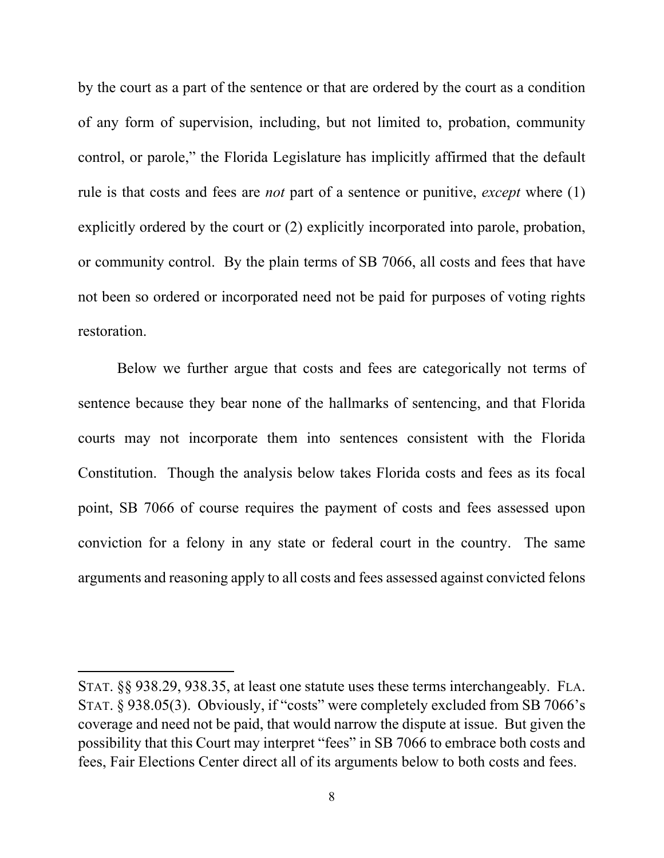by the court as a part of the sentence or that are ordered by the court as a condition of any form of supervision, including, but not limited to, probation, community control, or parole," the Florida Legislature has implicitly affirmed that the default rule is that costs and fees are *not* part of a sentence or punitive, *except* where (1) explicitly ordered by the court or (2) explicitly incorporated into parole, probation, or community control. By the plain terms of SB 7066, all costs and fees that have not been so ordered or incorporated need not be paid for purposes of voting rights restoration.

Below we further argue that costs and fees are categorically not terms of sentence because they bear none of the hallmarks of sentencing, and that Florida courts may not incorporate them into sentences consistent with the Florida Constitution. Though the analysis below takes Florida costs and fees as its focal point, SB 7066 of course requires the payment of costs and fees assessed upon conviction for a felony in any state or federal court in the country. The same arguments and reasoning apply to all costs and fees assessed against convicted felons

STAT. §§ 938.29, 938.35, at least one statute uses these terms interchangeably. FLA. STAT. § 938.05(3). Obviously, if "costs" were completely excluded from SB 7066's coverage and need not be paid, that would narrow the dispute at issue. But given the possibility that this Court may interpret "fees" in SB 7066 to embrace both costs and fees, Fair Elections Center direct all of its arguments below to both costs and fees.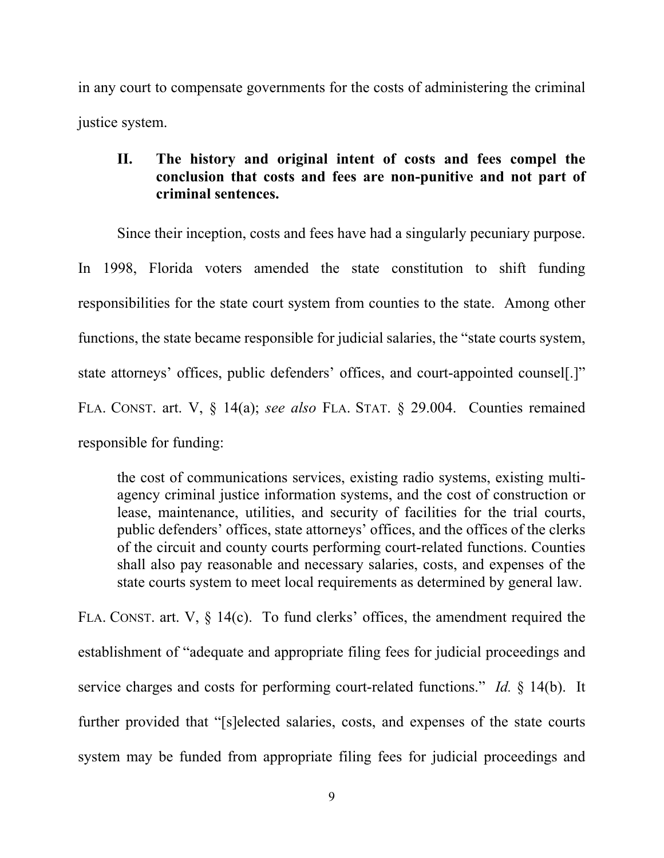in any court to compensate governments for the costs of administering the criminal justice system.

# **II. The history and original intent of costs and fees compel the conclusion that costs and fees are non-punitive and not part of criminal sentences.**

Since their inception, costs and fees have had a singularly pecuniary purpose.

In 1998, Florida voters amended the state constitution to shift funding responsibilities for the state court system from counties to the state. Among other functions, the state became responsible for judicial salaries, the "state courts system, state attorneys' offices, public defenders' offices, and court-appointed counsel[.]" FLA. CONST. art. V, § 14(a); *see also* FLA. STAT. § 29.004. Counties remained responsible for funding:

the cost of communications services, existing radio systems, existing multiagency criminal justice information systems, and the cost of construction or lease, maintenance, utilities, and security of facilities for the trial courts, public defenders' offices, state attorneys' offices, and the offices of the clerks of the circuit and county courts performing court-related functions. Counties shall also pay reasonable and necessary salaries, costs, and expenses of the state courts system to meet local requirements as determined by general law.

FLA. CONST. art. V,  $\S$  14(c). To fund clerks' offices, the amendment required the establishment of "adequate and appropriate filing fees for judicial proceedings and service charges and costs for performing court-related functions." *Id.* § 14(b). It further provided that "[s]elected salaries, costs, and expenses of the state courts system may be funded from appropriate filing fees for judicial proceedings and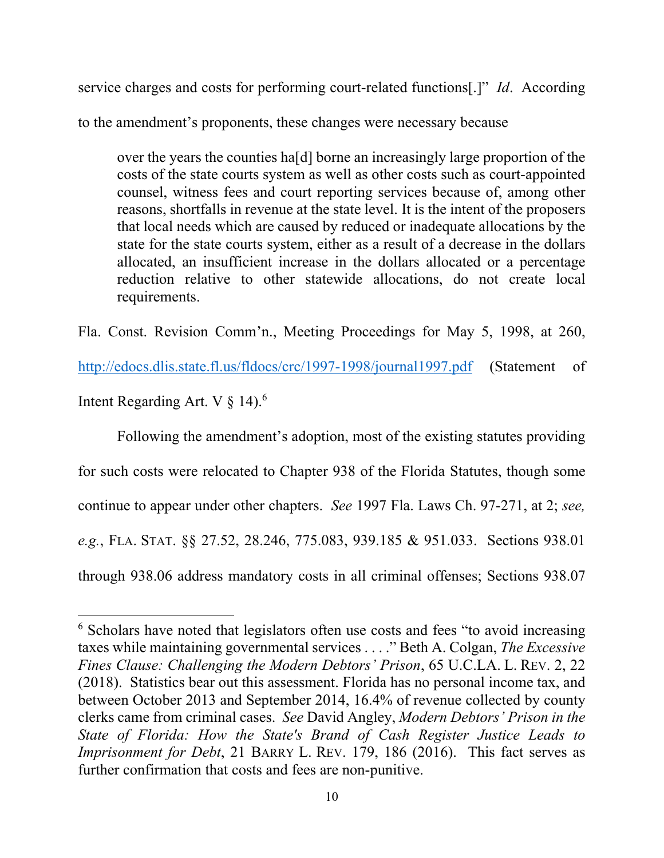service charges and costs for performing court-related functions[.]" *Id*. According to the amendment's proponents, these changes were necessary because

over the years the counties ha[d] borne an increasingly large proportion of the costs of the state courts system as well as other costs such as court-appointed counsel, witness fees and court reporting services because of, among other reasons, shortfalls in revenue at the state level. It is the intent of the proposers that local needs which are caused by reduced or inadequate allocations by the state for the state courts system, either as a result of a decrease in the dollars allocated, an insufficient increase in the dollars allocated or a percentage reduction relative to other statewide allocations, do not create local requirements.

Fla. Const. Revision Comm'n., Meeting Proceedings for May 5, 1998, at 260,

http://edocs.dlis.state.fl.us/fldocs/crc/1997-1998/journal1997.pdf (Statement of

Intent Regarding Art. V  $\S$  14).<sup>6</sup>

Following the amendment's adoption, most of the existing statutes providing for such costs were relocated to Chapter 938 of the Florida Statutes, though some continue to appear under other chapters. *See* 1997 Fla. Laws Ch. 97-271, at 2; *see, e.g.*, FLA. STAT. §§ 27.52, 28.246, 775.083, 939.185 & 951.033. Sections 938.01 through 938.06 address mandatory costs in all criminal offenses; Sections 938.07

<sup>&</sup>lt;sup>6</sup> Scholars have noted that legislators often use costs and fees "to avoid increasing taxes while maintaining governmental services . . . ." Beth A. Colgan, *The Excessive Fines Clause: Challenging the Modern Debtors' Prison*, 65 U.C.LA. L. REV. 2, 22 (2018). Statistics bear out this assessment. Florida has no personal income tax, and between October 2013 and September 2014, 16.4% of revenue collected by county clerks came from criminal cases. *See* David Angley, *Modern Debtors' Prison in the State of Florida: How the State's Brand of Cash Register Justice Leads to Imprisonment for Debt*, 21 BARRY L. REV. 179, 186 (2016). This fact serves as further confirmation that costs and fees are non-punitive.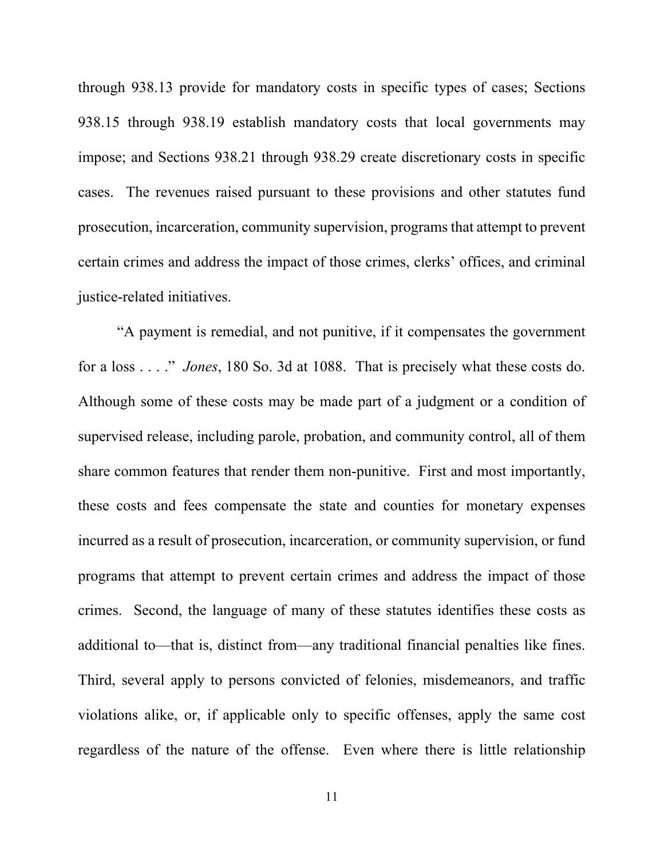through 938.13 provide for mandatory costs in specific types of cases; Sections 938.15 through 938.19 establish mandatory costs that local governments may impose; and Sections 938.21 through 938.29 create discretionary costs in specific cases. The revenues raised pursuant to these provisions and other statutes fund prosecution, incarceration, community supervision, programs that attempt to prevent certain crimes and address the impact of those crimes, clerks' offices, and criminal justice-related initiatives.

"A payment is remedial, and not punitive, if it compensates the government for a loss . . . ." *Jones*, 180 So. 3d at 1088. That is precisely what these costs do. Although some of these costs may be made part of a judgment or a condition of supervised release, including parole, probation, and community control, all of them share common features that render them non-punitive. First and most importantly, these costs and fees compensate the state and counties for monetary expenses incurred as a result of prosecution, incarceration, or community supervision, or fund programs that attempt to prevent certain crimes and address the impact of those crimes. Second, the language of many of these statutes identifies these costs as additional to—that is, distinct from—any traditional financial penalties like fines. Third, several apply to persons convicted of felonies, misdemeanors, and traffic violations alike, or, if applicable only to specific offenses, apply the same cost regardless of the nature of the offense. Even where there is little relationship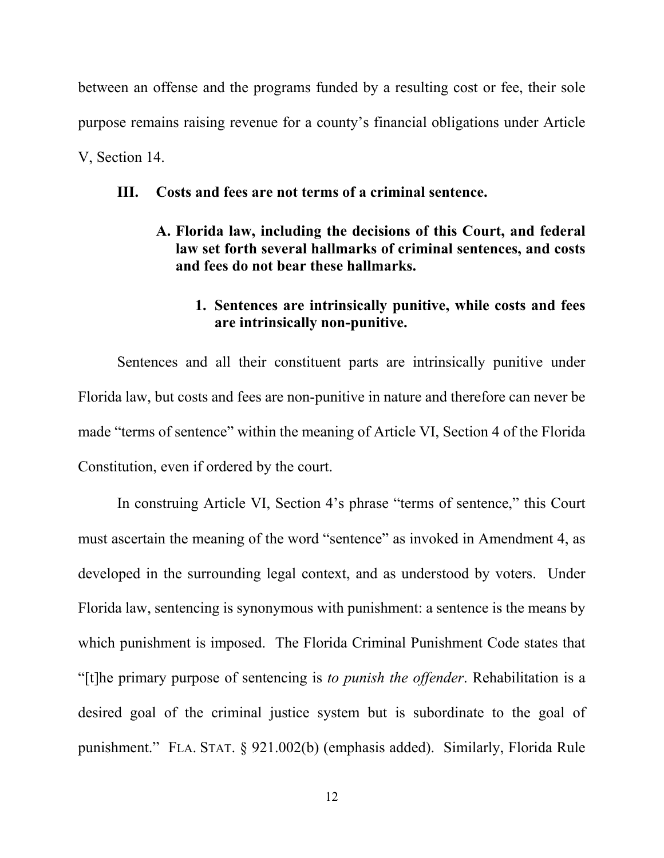between an offense and the programs funded by a resulting cost or fee, their sole purpose remains raising revenue for a county's financial obligations under Article V, Section 14.

### **III. Costs and fees are not terms of a criminal sentence.**

**A. Florida law, including the decisions of this Court, and federal law set forth several hallmarks of criminal sentences, and costs and fees do not bear these hallmarks.** 

## **1. Sentences are intrinsically punitive, while costs and fees are intrinsically non-punitive.**

Sentences and all their constituent parts are intrinsically punitive under Florida law, but costs and fees are non-punitive in nature and therefore can never be made "terms of sentence" within the meaning of Article VI, Section 4 of the Florida Constitution, even if ordered by the court.

In construing Article VI, Section 4's phrase "terms of sentence," this Court must ascertain the meaning of the word "sentence" as invoked in Amendment 4, as developed in the surrounding legal context, and as understood by voters. Under Florida law, sentencing is synonymous with punishment: a sentence is the means by which punishment is imposed. The Florida Criminal Punishment Code states that "[t]he primary purpose of sentencing is *to punish the offender*. Rehabilitation is a desired goal of the criminal justice system but is subordinate to the goal of punishment." FLA. STAT. § 921.002(b) (emphasis added). Similarly, Florida Rule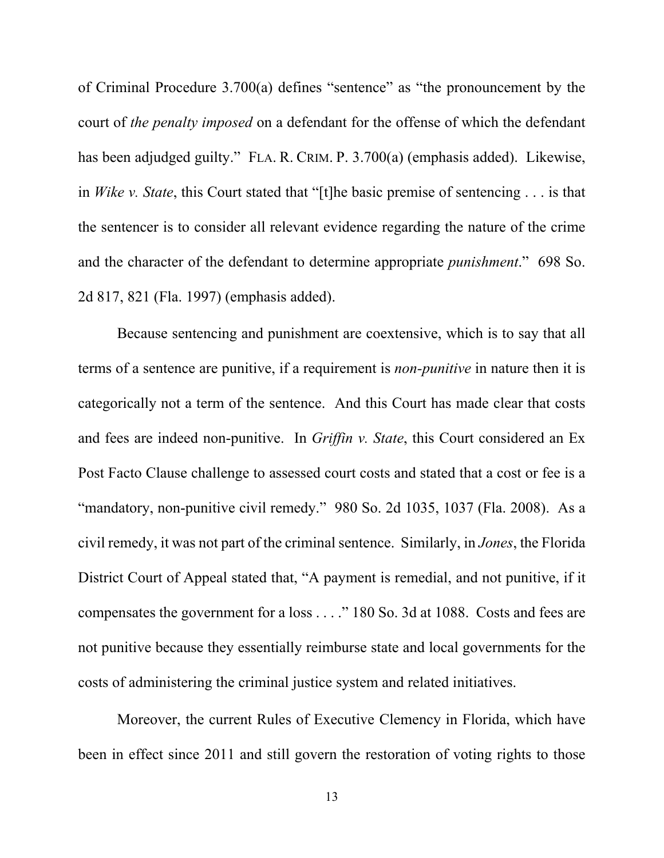of Criminal Procedure 3.700(a) defines "sentence" as "the pronouncement by the court of *the penalty imposed* on a defendant for the offense of which the defendant has been adjudged guilty." FLA. R. CRIM. P. 3.700(a) (emphasis added). Likewise, in *Wike v. State*, this Court stated that "[t]he basic premise of sentencing . . . is that the sentencer is to consider all relevant evidence regarding the nature of the crime and the character of the defendant to determine appropriate *punishment*." 698 So. 2d 817, 821 (Fla. 1997) (emphasis added).

Because sentencing and punishment are coextensive, which is to say that all terms of a sentence are punitive, if a requirement is *non-punitive* in nature then it is categorically not a term of the sentence. And this Court has made clear that costs and fees are indeed non-punitive. In *Griffin v. State*, this Court considered an Ex Post Facto Clause challenge to assessed court costs and stated that a cost or fee is a "mandatory, non-punitive civil remedy." 980 So. 2d 1035, 1037 (Fla. 2008). As a civil remedy, it was not part of the criminal sentence. Similarly, in *Jones*, the Florida District Court of Appeal stated that, "A payment is remedial, and not punitive, if it compensates the government for a loss . . . ." 180 So. 3d at 1088. Costs and fees are not punitive because they essentially reimburse state and local governments for the costs of administering the criminal justice system and related initiatives.

Moreover, the current Rules of Executive Clemency in Florida, which have been in effect since 2011 and still govern the restoration of voting rights to those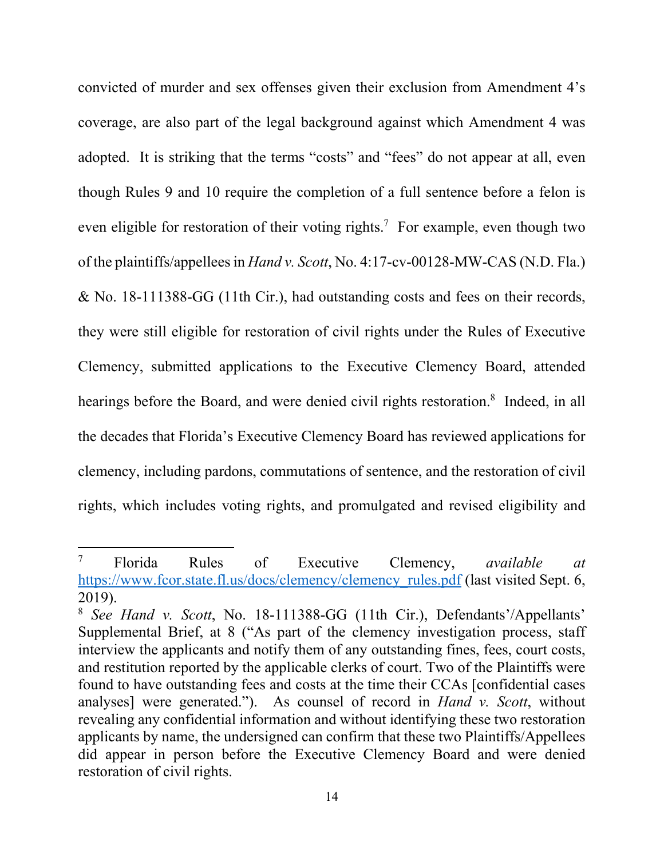convicted of murder and sex offenses given their exclusion from Amendment 4's coverage, are also part of the legal background against which Amendment 4 was adopted. It is striking that the terms "costs" and "fees" do not appear at all, even though Rules 9 and 10 require the completion of a full sentence before a felon is even eligible for restoration of their voting rights.<sup>7</sup> For example, even though two of the plaintiffs/appellees in *Hand v. Scott*, No. 4:17-cv-00128-MW-CAS (N.D. Fla.) & No. 18-111388-GG (11th Cir.), had outstanding costs and fees on their records, they were still eligible for restoration of civil rights under the Rules of Executive Clemency, submitted applications to the Executive Clemency Board, attended hearings before the Board, and were denied civil rights restoration.<sup>8</sup> Indeed, in all the decades that Florida's Executive Clemency Board has reviewed applications for clemency, including pardons, commutations of sentence, and the restoration of civil rights, which includes voting rights, and promulgated and revised eligibility and

<sup>7</sup> Florida Rules of Executive Clemency, *available at*  https://www.fcor.state.fl.us/docs/clemency/clemency\_rules.pdf (last visited Sept. 6, 2019).

<sup>8</sup> *See Hand v. Scott*, No. 18-111388-GG (11th Cir.), Defendants'/Appellants' Supplemental Brief, at 8 ("As part of the clemency investigation process, staff interview the applicants and notify them of any outstanding fines, fees, court costs, and restitution reported by the applicable clerks of court. Two of the Plaintiffs were found to have outstanding fees and costs at the time their CCAs [confidential cases analyses] were generated."). As counsel of record in *Hand v. Scott*, without revealing any confidential information and without identifying these two restoration applicants by name, the undersigned can confirm that these two Plaintiffs/Appellees did appear in person before the Executive Clemency Board and were denied restoration of civil rights.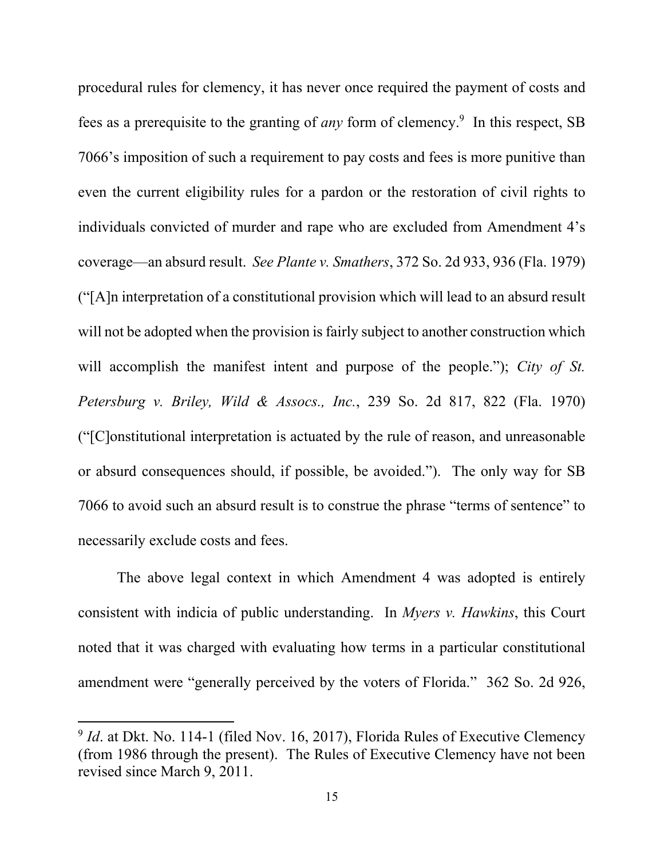procedural rules for clemency, it has never once required the payment of costs and fees as a prerequisite to the granting of *any* form of clemency.<sup>9</sup> In this respect, SB 7066's imposition of such a requirement to pay costs and fees is more punitive than even the current eligibility rules for a pardon or the restoration of civil rights to individuals convicted of murder and rape who are excluded from Amendment 4's coverage—an absurd result. *See Plante v. Smathers*, 372 So. 2d 933, 936 (Fla. 1979) ("[A]n interpretation of a constitutional provision which will lead to an absurd result will not be adopted when the provision is fairly subject to another construction which will accomplish the manifest intent and purpose of the people."); *City of St. Petersburg v. Briley, Wild & Assocs., Inc.*, 239 So. 2d 817, 822 (Fla. 1970) ("[C]onstitutional interpretation is actuated by the rule of reason, and unreasonable or absurd consequences should, if possible, be avoided."). The only way for SB 7066 to avoid such an absurd result is to construe the phrase "terms of sentence" to necessarily exclude costs and fees.

The above legal context in which Amendment 4 was adopted is entirely consistent with indicia of public understanding. In *Myers v. Hawkins*, this Court noted that it was charged with evaluating how terms in a particular constitutional amendment were "generally perceived by the voters of Florida." 362 So. 2d 926,

<sup>&</sup>lt;sup>9</sup> *Id.* at Dkt. No. 114-1 (filed Nov. 16, 2017), Florida Rules of Executive Clemency (from 1986 through the present). The Rules of Executive Clemency have not been revised since March 9, 2011.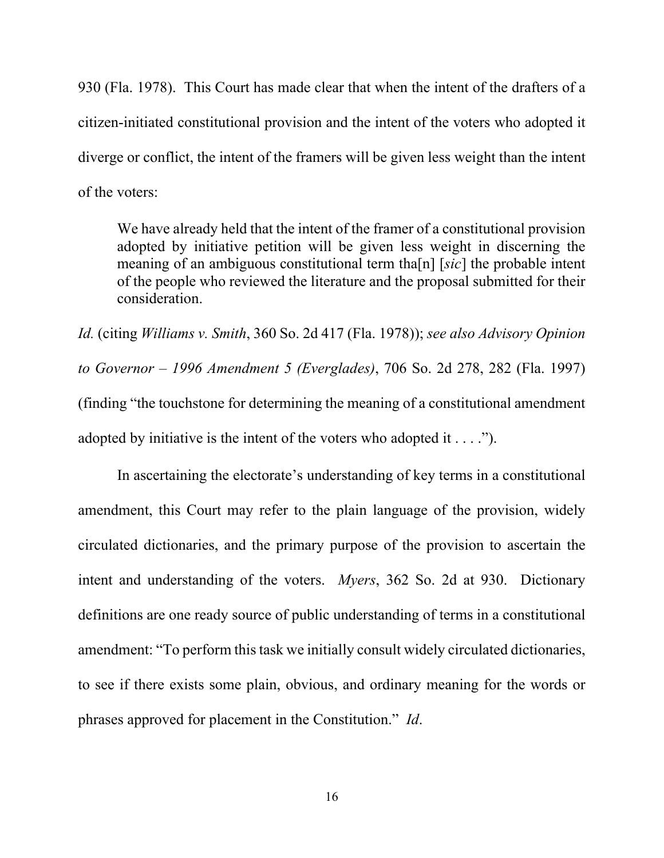930 (Fla. 1978). This Court has made clear that when the intent of the drafters of a citizen-initiated constitutional provision and the intent of the voters who adopted it diverge or conflict, the intent of the framers will be given less weight than the intent of the voters:

We have already held that the intent of the framer of a constitutional provision adopted by initiative petition will be given less weight in discerning the meaning of an ambiguous constitutional term tha[n] [*sic*] the probable intent of the people who reviewed the literature and the proposal submitted for their consideration.

*Id.* (citing *Williams v. Smith*, 360 So. 2d 417 (Fla. 1978)); *see also Advisory Opinion to Governor – 1996 Amendment 5 (Everglades)*, 706 So. 2d 278, 282 (Fla. 1997) (finding "the touchstone for determining the meaning of a constitutional amendment adopted by initiative is the intent of the voters who adopted it  $\dots$ .").

 In ascertaining the electorate's understanding of key terms in a constitutional amendment, this Court may refer to the plain language of the provision, widely circulated dictionaries, and the primary purpose of the provision to ascertain the intent and understanding of the voters. *Myers*, 362 So. 2d at 930. Dictionary definitions are one ready source of public understanding of terms in a constitutional amendment: "To perform this task we initially consult widely circulated dictionaries, to see if there exists some plain, obvious, and ordinary meaning for the words or phrases approved for placement in the Constitution." *Id*.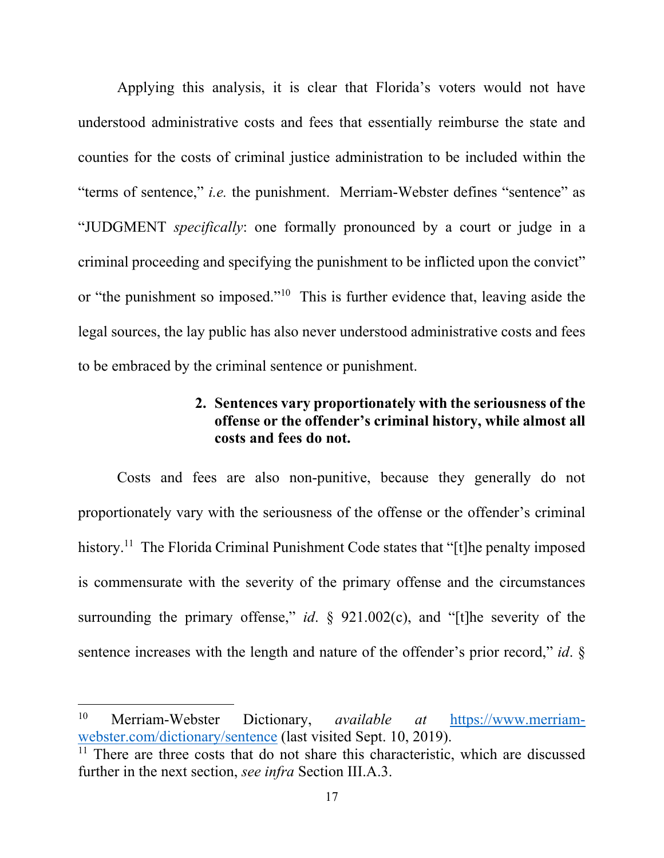Applying this analysis, it is clear that Florida's voters would not have understood administrative costs and fees that essentially reimburse the state and counties for the costs of criminal justice administration to be included within the "terms of sentence," *i.e.* the punishment. Merriam-Webster defines "sentence" as "JUDGMENT *specifically*: one formally pronounced by a court or judge in a criminal proceeding and specifying the punishment to be inflicted upon the convict" or "the punishment so imposed."10 This is further evidence that, leaving aside the legal sources, the lay public has also never understood administrative costs and fees to be embraced by the criminal sentence or punishment.

# **2. Sentences vary proportionately with the seriousness of the offense or the offender's criminal history, while almost all costs and fees do not.**

Costs and fees are also non-punitive, because they generally do not proportionately vary with the seriousness of the offense or the offender's criminal history.<sup>11</sup> The Florida Criminal Punishment Code states that "[t]he penalty imposed is commensurate with the severity of the primary offense and the circumstances surrounding the primary offense," *id*. § 921.002(c), and "[t]he severity of the sentence increases with the length and nature of the offender's prior record," *id*. §

<sup>10</sup> Merriam-Webster Dictionary, *available at* https://www.merriamwebster.com/dictionary/sentence (last visited Sept. 10, 2019).

 $11$  There are three costs that do not share this characteristic, which are discussed further in the next section, *see infra* Section III.A.3.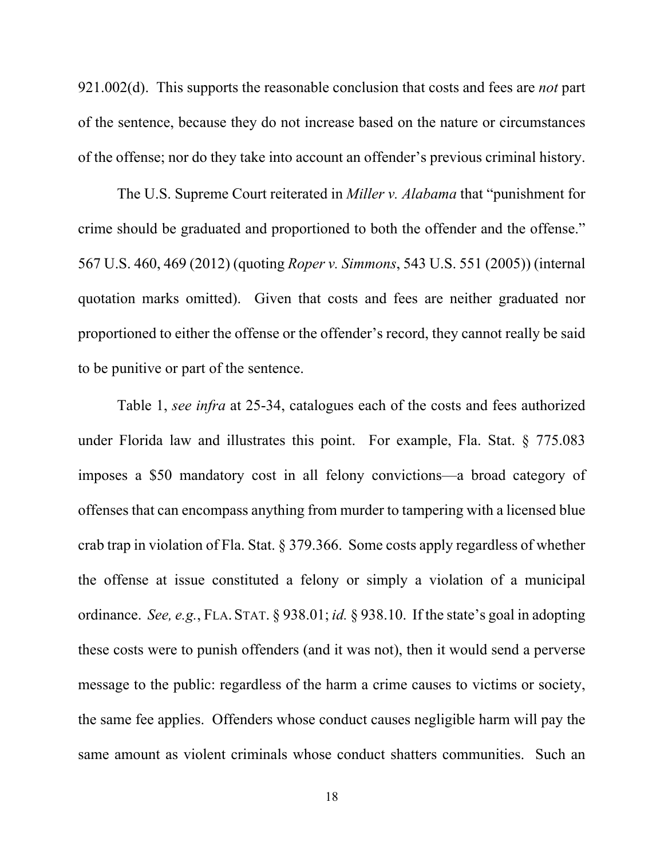921.002(d). This supports the reasonable conclusion that costs and fees are *not* part of the sentence, because they do not increase based on the nature or circumstances of the offense; nor do they take into account an offender's previous criminal history.

The U.S. Supreme Court reiterated in *Miller v. Alabama* that "punishment for crime should be graduated and proportioned to both the offender and the offense." 567 U.S. 460, 469 (2012) (quoting *Roper v. Simmons*, 543 U.S. 551 (2005)) (internal quotation marks omitted). Given that costs and fees are neither graduated nor proportioned to either the offense or the offender's record, they cannot really be said to be punitive or part of the sentence.

Table 1, *see infra* at 25-34, catalogues each of the costs and fees authorized under Florida law and illustrates this point. For example, Fla. Stat. § 775.083 imposes a \$50 mandatory cost in all felony convictions—a broad category of offenses that can encompass anything from murder to tampering with a licensed blue crab trap in violation of Fla. Stat. § 379.366. Some costs apply regardless of whether the offense at issue constituted a felony or simply a violation of a municipal ordinance. *See, e.g.*, FLA. STAT. § 938.01; *id.* § 938.10. If the state's goal in adopting these costs were to punish offenders (and it was not), then it would send a perverse message to the public: regardless of the harm a crime causes to victims or society, the same fee applies. Offenders whose conduct causes negligible harm will pay the same amount as violent criminals whose conduct shatters communities. Such an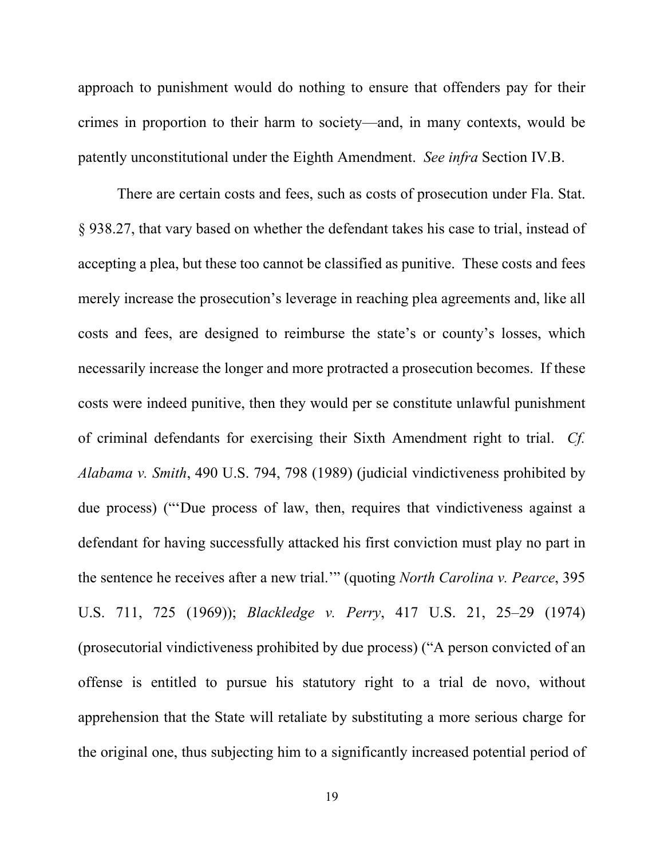approach to punishment would do nothing to ensure that offenders pay for their crimes in proportion to their harm to society—and, in many contexts, would be patently unconstitutional under the Eighth Amendment. *See infra* Section IV.B.

There are certain costs and fees, such as costs of prosecution under Fla. Stat. § 938.27, that vary based on whether the defendant takes his case to trial, instead of accepting a plea, but these too cannot be classified as punitive. These costs and fees merely increase the prosecution's leverage in reaching plea agreements and, like all costs and fees, are designed to reimburse the state's or county's losses, which necessarily increase the longer and more protracted a prosecution becomes. If these costs were indeed punitive, then they would per se constitute unlawful punishment of criminal defendants for exercising their Sixth Amendment right to trial. *Cf. Alabama v. Smith*, 490 U.S. 794, 798 (1989) (judicial vindictiveness prohibited by due process) ("'Due process of law, then, requires that vindictiveness against a defendant for having successfully attacked his first conviction must play no part in the sentence he receives after a new trial.'" (quoting *North Carolina v. Pearce*, 395 U.S. 711, 725 (1969)); *Blackledge v. Perry*, 417 U.S. 21, 25–29 (1974) (prosecutorial vindictiveness prohibited by due process) ("A person convicted of an offense is entitled to pursue his statutory right to a trial de novo, without apprehension that the State will retaliate by substituting a more serious charge for the original one, thus subjecting him to a significantly increased potential period of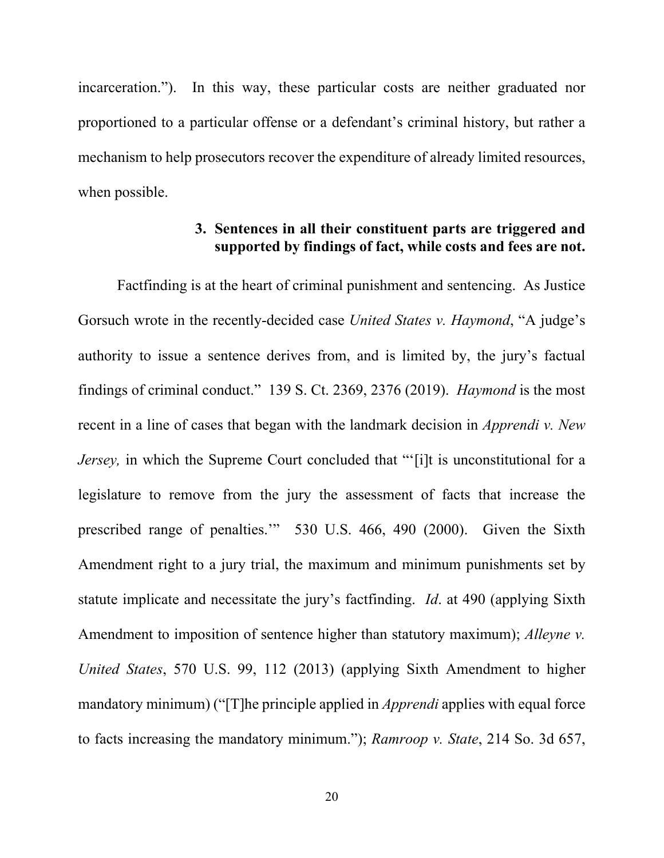incarceration."). In this way, these particular costs are neither graduated nor proportioned to a particular offense or a defendant's criminal history, but rather a mechanism to help prosecutors recover the expenditure of already limited resources, when possible.

# **3. Sentences in all their constituent parts are triggered and supported by findings of fact, while costs and fees are not.**

Factfinding is at the heart of criminal punishment and sentencing. As Justice Gorsuch wrote in the recently-decided case *United States v. Haymond*, "A judge's authority to issue a sentence derives from, and is limited by, the jury's factual findings of criminal conduct." 139 S. Ct. 2369, 2376 (2019). *Haymond* is the most recent in a line of cases that began with the landmark decision in *Apprendi v. New Jersey*, in which the Supreme Court concluded that "'[i]t is unconstitutional for a legislature to remove from the jury the assessment of facts that increase the prescribed range of penalties.'" 530 U.S. 466, 490 (2000). Given the Sixth Amendment right to a jury trial, the maximum and minimum punishments set by statute implicate and necessitate the jury's factfinding. *Id*. at 490 (applying Sixth Amendment to imposition of sentence higher than statutory maximum); *Alleyne v. United States*, 570 U.S. 99, 112 (2013) (applying Sixth Amendment to higher mandatory minimum) ("[T]he principle applied in *Apprendi* applies with equal force to facts increasing the mandatory minimum."); *Ramroop v. State*, 214 So. 3d 657,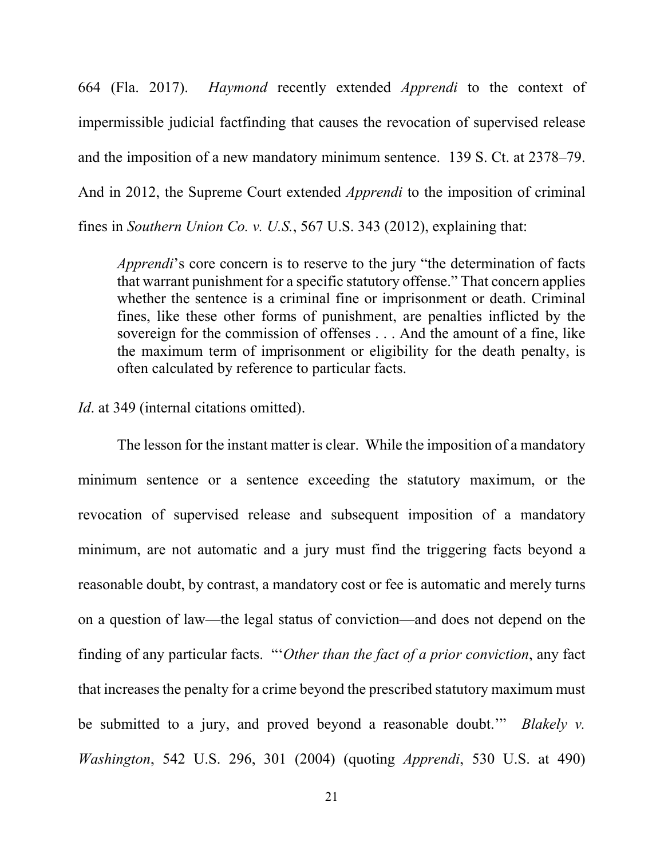664 (Fla. 2017). *Haymond* recently extended *Apprendi* to the context of impermissible judicial factfinding that causes the revocation of supervised release and the imposition of a new mandatory minimum sentence. 139 S. Ct. at 2378–79. And in 2012, the Supreme Court extended *Apprendi* to the imposition of criminal fines in *Southern Union Co. v. U.S.*, 567 U.S. 343 (2012), explaining that:

*Apprendi*'s core concern is to reserve to the jury "the determination of facts that warrant punishment for a specific statutory offense." That concern applies whether the sentence is a criminal fine or imprisonment or death. Criminal fines, like these other forms of punishment, are penalties inflicted by the sovereign for the commission of offenses . . . And the amount of a fine, like the maximum term of imprisonment or eligibility for the death penalty, is often calculated by reference to particular facts.

*Id*. at 349 (internal citations omitted).

The lesson for the instant matter is clear. While the imposition of a mandatory minimum sentence or a sentence exceeding the statutory maximum, or the revocation of supervised release and subsequent imposition of a mandatory minimum, are not automatic and a jury must find the triggering facts beyond a reasonable doubt, by contrast, a mandatory cost or fee is automatic and merely turns on a question of law—the legal status of conviction—and does not depend on the finding of any particular facts. "'*Other than the fact of a prior conviction*, any fact that increases the penalty for a crime beyond the prescribed statutory maximum must be submitted to a jury, and proved beyond a reasonable doubt.'" *Blakely v. Washington*, 542 U.S. 296, 301 (2004) (quoting *Apprendi*, 530 U.S. at 490)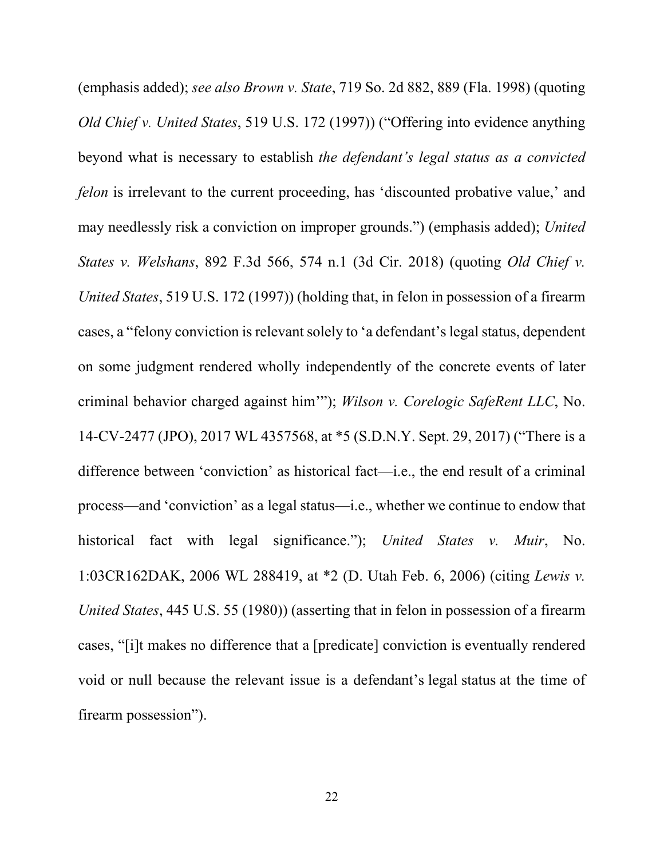(emphasis added); *see also Brown v. State*, 719 So. 2d 882, 889 (Fla. 1998) (quoting *Old Chief v. United States*, 519 U.S. 172 (1997)) ("Offering into evidence anything beyond what is necessary to establish *the defendant's legal status as a convicted felon* is irrelevant to the current proceeding, has 'discounted probative value,' and may needlessly risk a conviction on improper grounds.") (emphasis added); *United States v. Welshans*, 892 F.3d 566, 574 n.1 (3d Cir. 2018) (quoting *Old Chief v. United States*, 519 U.S. 172 (1997)) (holding that, in felon in possession of a firearm cases, a "felony conviction is relevant solely to 'a defendant's legal status, dependent on some judgment rendered wholly independently of the concrete events of later criminal behavior charged against him'"); *Wilson v. Corelogic SafeRent LLC*, No. 14-CV-2477 (JPO), 2017 WL 4357568, at \*5 (S.D.N.Y. Sept. 29, 2017) ("There is a difference between 'conviction' as historical fact—i.e., the end result of a criminal process—and 'conviction' as a legal status—i.e., whether we continue to endow that historical fact with legal significance."); *United States v. Muir*, No. 1:03CR162DAK, 2006 WL 288419, at \*2 (D. Utah Feb. 6, 2006) (citing *Lewis v. United States*, 445 U.S. 55 (1980)) (asserting that in felon in possession of a firearm cases, "[i]t makes no difference that a [predicate] conviction is eventually rendered void or null because the relevant issue is a defendant's legal status at the time of firearm possession").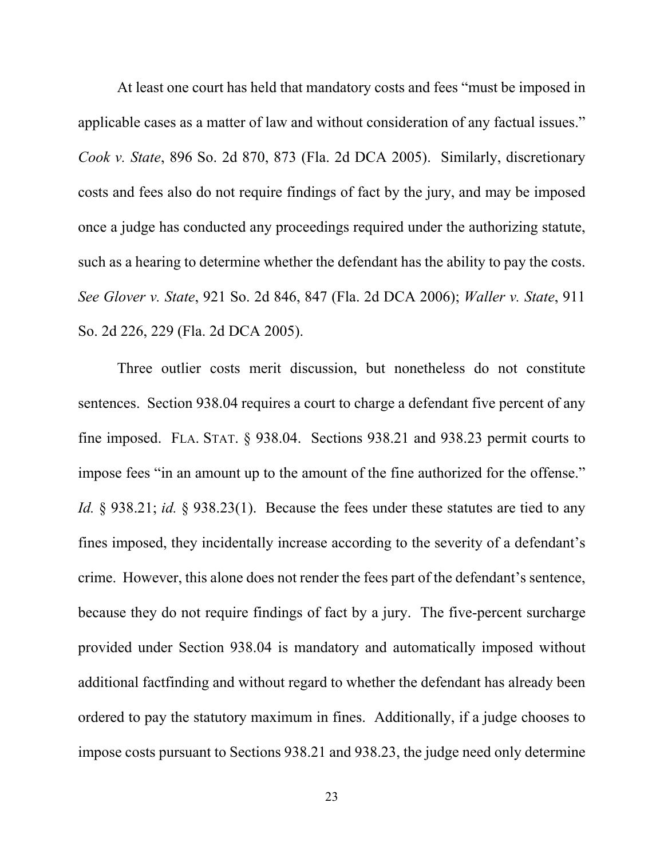At least one court has held that mandatory costs and fees "must be imposed in applicable cases as a matter of law and without consideration of any factual issues." *Cook v. State*, 896 So. 2d 870, 873 (Fla. 2d DCA 2005). Similarly, discretionary costs and fees also do not require findings of fact by the jury, and may be imposed once a judge has conducted any proceedings required under the authorizing statute, such as a hearing to determine whether the defendant has the ability to pay the costs. *See Glover v. State*, 921 So. 2d 846, 847 (Fla. 2d DCA 2006); *Waller v. State*, 911 So. 2d 226, 229 (Fla. 2d DCA 2005).

Three outlier costs merit discussion, but nonetheless do not constitute sentences. Section 938.04 requires a court to charge a defendant five percent of any fine imposed. FLA. STAT. § 938.04. Sections 938.21 and 938.23 permit courts to impose fees "in an amount up to the amount of the fine authorized for the offense." *Id.* § 938.21; *id.* § 938.23(1). Because the fees under these statutes are tied to any fines imposed, they incidentally increase according to the severity of a defendant's crime. However, this alone does not render the fees part of the defendant's sentence, because they do not require findings of fact by a jury. The five-percent surcharge provided under Section 938.04 is mandatory and automatically imposed without additional factfinding and without regard to whether the defendant has already been ordered to pay the statutory maximum in fines. Additionally, if a judge chooses to impose costs pursuant to Sections 938.21 and 938.23, the judge need only determine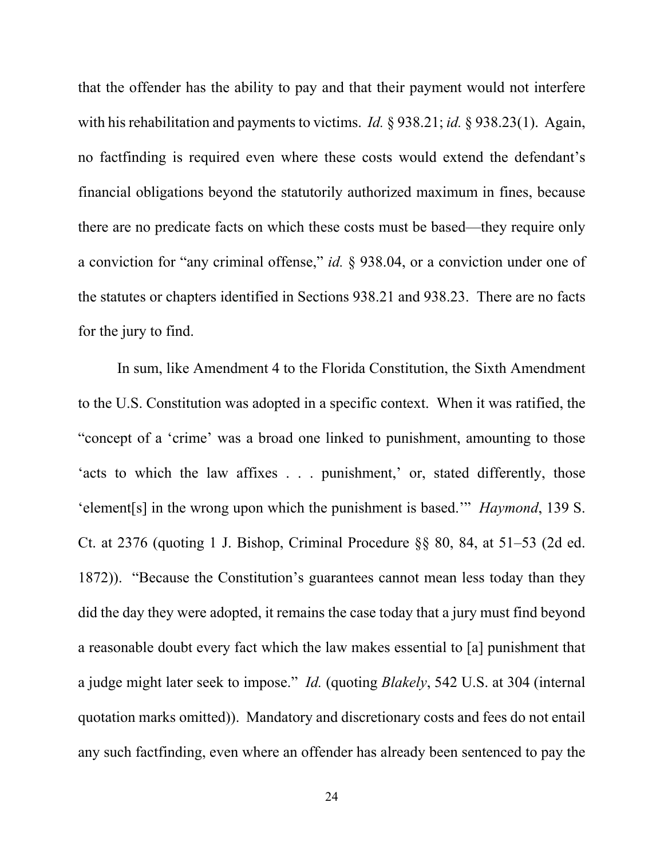that the offender has the ability to pay and that their payment would not interfere with his rehabilitation and payments to victims. *Id.* § 938.21; *id.* § 938.23(1). Again, no factfinding is required even where these costs would extend the defendant's financial obligations beyond the statutorily authorized maximum in fines, because there are no predicate facts on which these costs must be based—they require only a conviction for "any criminal offense," *id.* § 938.04, or a conviction under one of the statutes or chapters identified in Sections 938.21 and 938.23. There are no facts for the jury to find.

In sum, like Amendment 4 to the Florida Constitution, the Sixth Amendment to the U.S. Constitution was adopted in a specific context. When it was ratified, the "concept of a 'crime' was a broad one linked to punishment, amounting to those 'acts to which the law affixes . . . punishment,' or, stated differently, those 'element[s] in the wrong upon which the punishment is based.'" *Haymond*, 139 S. Ct. at 2376 (quoting 1 J. Bishop, Criminal Procedure §§ 80, 84, at 51–53 (2d ed. 1872)). "Because the Constitution's guarantees cannot mean less today than they did the day they were adopted, it remains the case today that a jury must find beyond a reasonable doubt every fact which the law makes essential to [a] punishment that a judge might later seek to impose." *Id.* (quoting *Blakely*, 542 U.S. at 304 (internal quotation marks omitted)). Mandatory and discretionary costs and fees do not entail any such factfinding, even where an offender has already been sentenced to pay the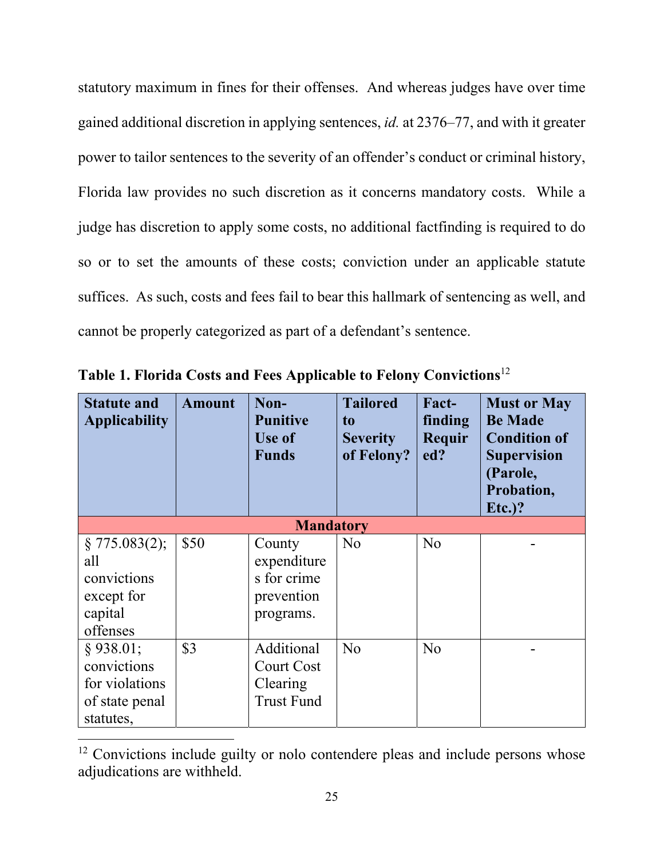statutory maximum in fines for their offenses. And whereas judges have over time gained additional discretion in applying sentences, *id.* at 2376–77, and with it greater power to tailor sentences to the severity of an offender's conduct or criminal history, Florida law provides no such discretion as it concerns mandatory costs. While a judge has discretion to apply some costs, no additional factfinding is required to do so or to set the amounts of these costs; conviction under an applicable statute suffices. As such, costs and fees fail to bear this hallmark of sentencing as well, and cannot be properly categorized as part of a defendant's sentence.

| <b>Statute and</b><br><b>Applicability</b>                                  | <b>Amount</b> | Non-<br><b>Punitive</b><br>Use of<br><b>Funds</b>               | <b>Tailored</b><br>t <sub>o</sub><br><b>Severity</b><br>of Felony? | Fact-<br>finding<br>Requir<br>ed? | <b>Must or May</b><br><b>Be Made</b><br><b>Condition of</b><br><b>Supervision</b><br>(Parole,<br>Probation,<br>$Et.$ )? |
|-----------------------------------------------------------------------------|---------------|-----------------------------------------------------------------|--------------------------------------------------------------------|-----------------------------------|-------------------------------------------------------------------------------------------------------------------------|
|                                                                             |               | <b>Mandatory</b>                                                |                                                                    |                                   |                                                                                                                         |
| § 775.083(2);<br>all<br>convictions<br>except for<br>capital<br>offenses    | \$50          | County<br>expenditure<br>s for crime<br>prevention<br>programs. | N <sub>o</sub>                                                     | N <sub>o</sub>                    |                                                                                                                         |
| $§$ 938.01;<br>convictions<br>for violations<br>of state penal<br>statutes, | \$3           | Additional<br>Court Cost<br>Clearing<br><b>Trust Fund</b>       | N <sub>o</sub>                                                     | N <sub>o</sub>                    |                                                                                                                         |

**Table 1. Florida Costs and Fees Applicable to Felony Convictions**<sup>12</sup>

<sup>&</sup>lt;sup>12</sup> Convictions include guilty or nolo contendere pleas and include persons whose adjudications are withheld.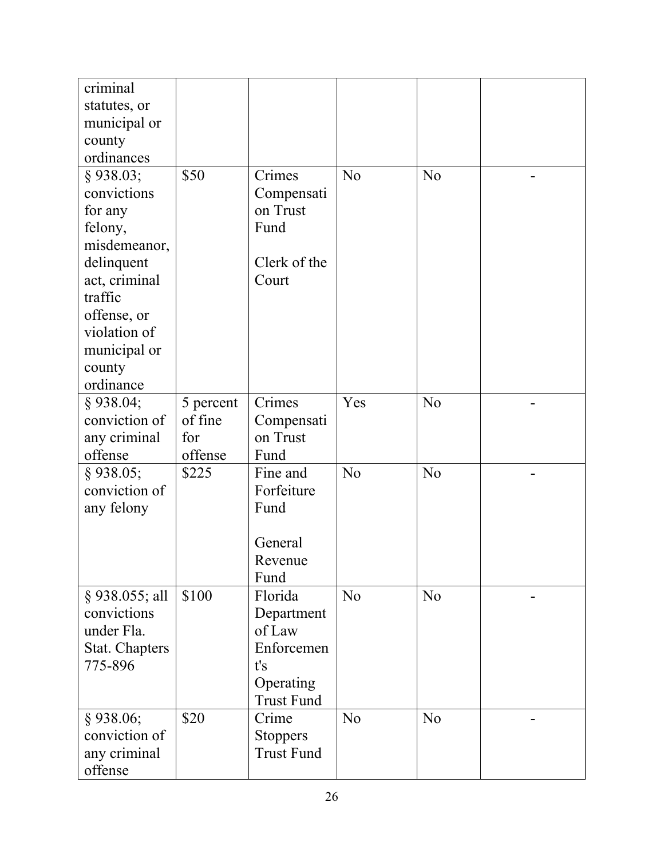| criminal<br>statutes, or      |           |                                      |                |                |  |
|-------------------------------|-----------|--------------------------------------|----------------|----------------|--|
| municipal or                  |           |                                      |                |                |  |
| county                        |           |                                      |                |                |  |
| ordinances                    |           |                                      |                |                |  |
| $§$ 938.03;                   | \$50      | Crimes                               | N <sub>o</sub> | N <sub>o</sub> |  |
| convictions                   |           | Compensati                           |                |                |  |
| for any                       |           | on Trust                             |                |                |  |
| felony,                       |           | Fund                                 |                |                |  |
| misdemeanor,                  |           |                                      |                |                |  |
| delinquent                    |           | Clerk of the                         |                |                |  |
| act, criminal                 |           | Court                                |                |                |  |
| traffic                       |           |                                      |                |                |  |
| offense, or                   |           |                                      |                |                |  |
| violation of                  |           |                                      |                |                |  |
| municipal or                  |           |                                      |                |                |  |
| county                        |           |                                      |                |                |  |
| ordinance                     |           |                                      |                |                |  |
| $§$ 938.04;                   | 5 percent | Crimes                               | Yes            | N <sub>o</sub> |  |
| conviction of                 | of fine   | Compensati                           |                |                |  |
| any criminal                  | for       | on Trust                             |                |                |  |
| offense                       | offense   | Fund                                 |                |                |  |
| $§$ 938.05;                   | \$225     | Fine and                             | N <sub>o</sub> | N <sub>o</sub> |  |
| conviction of                 |           | Forfeiture                           |                |                |  |
| any felony                    |           | Fund                                 |                |                |  |
|                               |           |                                      |                |                |  |
|                               |           | General                              |                |                |  |
|                               |           | Revenue                              |                |                |  |
|                               | \$100     | Fund<br>Florida                      | N <sub>o</sub> | N <sub>o</sub> |  |
| § 938.055; all<br>convictions |           | Department                           |                |                |  |
| under Fla.                    |           | of Law                               |                |                |  |
| <b>Stat. Chapters</b>         |           | Enforcemen                           |                |                |  |
| 775-896                       |           | t's                                  |                |                |  |
|                               |           | Operating                            |                |                |  |
|                               |           | <b>Trust Fund</b>                    |                |                |  |
| $§$ 938.06;                   | \$20      | Crime                                | N <sub>o</sub> | N <sub>o</sub> |  |
| conviction of                 |           |                                      |                |                |  |
|                               |           |                                      |                |                |  |
| any criminal                  |           | <b>Stoppers</b><br><b>Trust Fund</b> |                |                |  |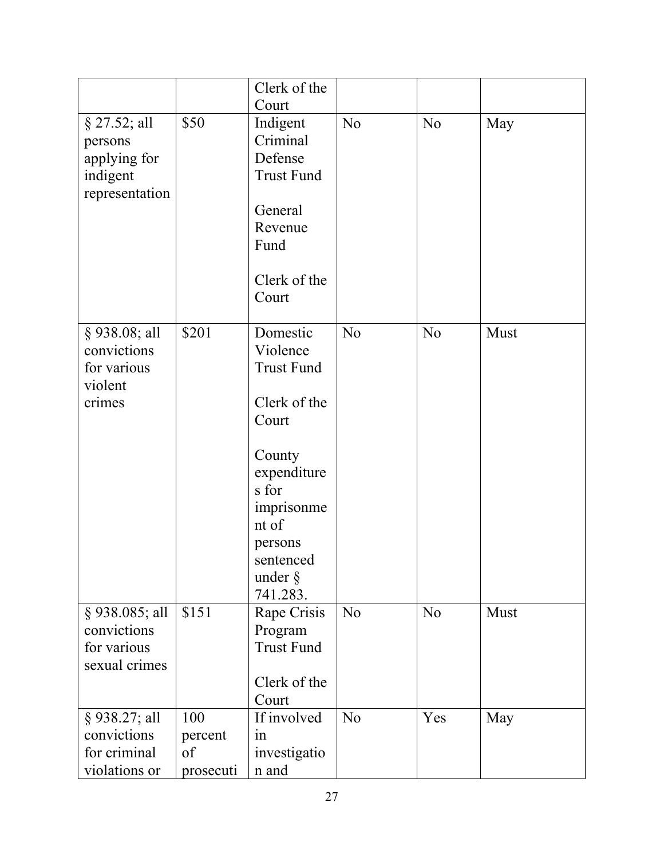|                                                                         |                                   | Clerk of the                                                                                                                                                                  |                |                |      |
|-------------------------------------------------------------------------|-----------------------------------|-------------------------------------------------------------------------------------------------------------------------------------------------------------------------------|----------------|----------------|------|
| $§$ 27.52; all<br>persons<br>applying for<br>indigent<br>representation | \$50                              | Court<br>Indigent<br>Criminal<br>Defense<br><b>Trust Fund</b><br>General<br>Revenue<br>Fund<br>Clerk of the<br>Court                                                          | N <sub>o</sub> | N <sub>o</sub> | May  |
| § 938.08; all<br>convictions<br>for various<br>violent<br>crimes        | \$201                             | Domestic<br>Violence<br><b>Trust Fund</b><br>Clerk of the<br>Court<br>County<br>expenditure<br>s for<br>imprisonme<br>nt of<br>persons<br>sentenced<br>under $\S$<br>741.283. | N <sub>o</sub> | N <sub>o</sub> | Must |
| § 938.085; all<br>convictions<br>for various<br>sexual crimes           | \$151                             | Rape Crisis<br>Program<br><b>Trust Fund</b><br>Clerk of the<br>Court                                                                                                          | N <sub>o</sub> | N <sub>o</sub> | Must |
| § 938.27; all<br>convictions<br>for criminal<br>violations or           | 100<br>percent<br>of<br>prosecuti | If involved<br>in<br>investigatio<br>n and                                                                                                                                    | N <sub>o</sub> | Yes            | May  |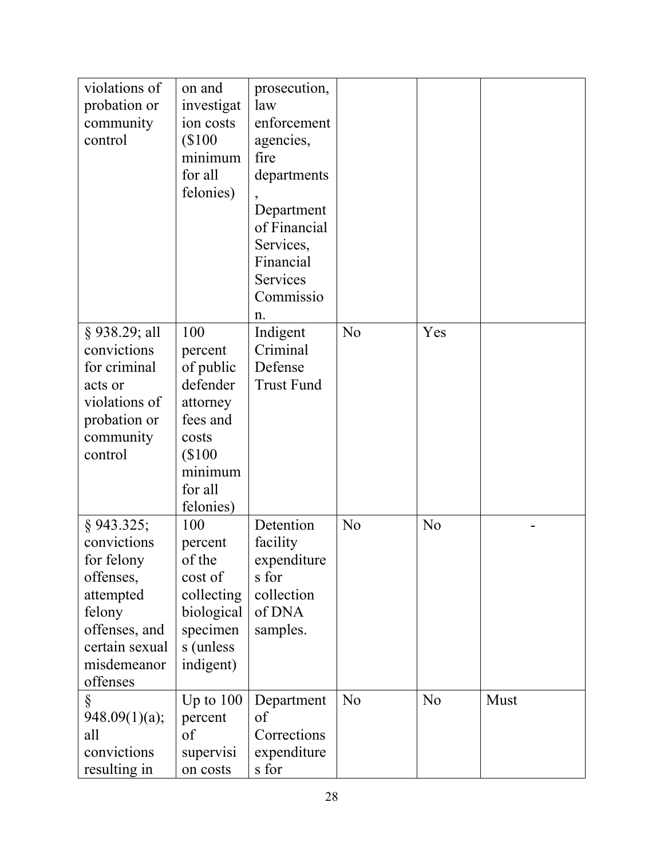| violations of<br>probation or<br>community<br>control                                                                                     | on and<br>investigat<br>ion costs<br>(\$100<br>minimum<br>for all<br>felonies)                                       | prosecution,<br>law<br>enforcement<br>agencies,<br>fire<br>departments<br>Department<br>of Financial<br>Services,<br>Financial<br>Services<br>Commissio<br>n. |                |                |      |
|-------------------------------------------------------------------------------------------------------------------------------------------|----------------------------------------------------------------------------------------------------------------------|---------------------------------------------------------------------------------------------------------------------------------------------------------------|----------------|----------------|------|
| § 938.29; all<br>convictions<br>for criminal<br>acts or<br>violations of<br>probation or<br>community<br>control                          | 100<br>percent<br>of public<br>defender<br>attorney<br>fees and<br>costs<br>\$100<br>minimum<br>for all<br>felonies) | Indigent<br>Criminal<br>Defense<br><b>Trust Fund</b>                                                                                                          | N <sub>o</sub> | Yes            |      |
| § 943.325;<br>convictions<br>for felony<br>offenses,<br>attempted<br>felony<br>offenses, and<br>certain sexual<br>misdemeanor<br>offenses | 100<br>percent<br>of the<br>cost of<br>collecting<br>biological<br>specimen<br>s (unless<br>indigent)                | Detention<br>facility<br>expenditure<br>s for<br>collection<br>of DNA<br>samples.                                                                             | No             | N <sub>o</sub> |      |
| Ş<br>948.09(1)(a);<br>all<br>convictions<br>resulting in                                                                                  | Up to $100$<br>percent<br>of<br>supervisi<br>on costs                                                                | Department<br>of<br>Corrections<br>expenditure<br>s for                                                                                                       | No             | N <sub>o</sub> | Must |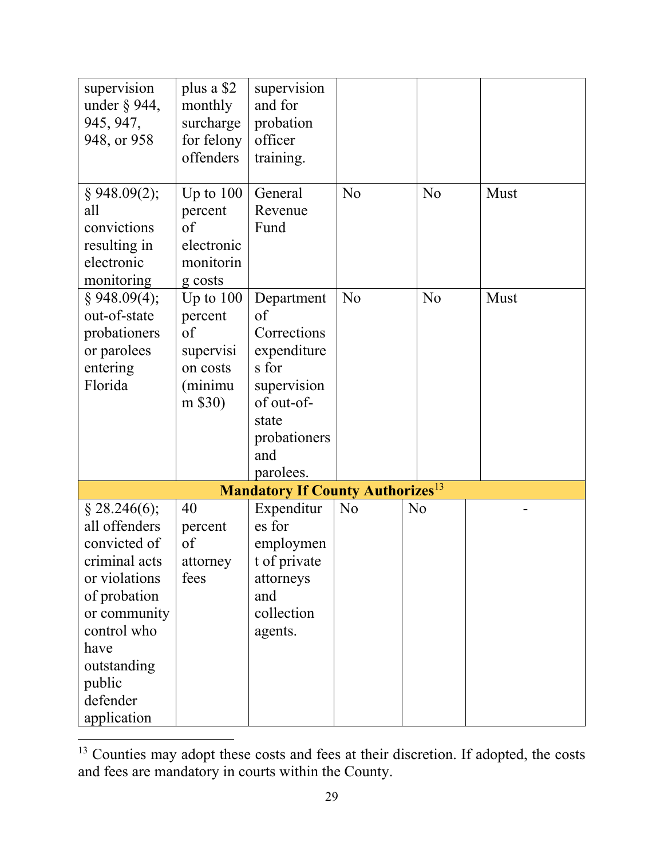| supervision<br>under $\S$ 944,<br>945, 947,<br>948, or 958                                                                                                                                   | plus a \$2<br>monthly<br>surcharge<br>for felony<br>offenders               | supervision<br>and for<br>probation<br>officer<br>training.                                                                       |    |                |      |
|----------------------------------------------------------------------------------------------------------------------------------------------------------------------------------------------|-----------------------------------------------------------------------------|-----------------------------------------------------------------------------------------------------------------------------------|----|----------------|------|
| $§$ 948.09(2);<br>all<br>convictions<br>resulting in<br>electronic<br>monitoring                                                                                                             | Up to $100$<br>percent<br>of<br>electronic<br>monitorin<br>g costs          | General<br>Revenue<br>Fund                                                                                                        | No | N <sub>o</sub> | Must |
| $§$ 948.09(4);<br>out-of-state<br>probationers<br>or parolees<br>entering<br>Florida                                                                                                         | Up to $100$<br>percent<br>of<br>supervisi<br>on costs<br>(minimu<br>m \$30) | Department<br>of<br>Corrections<br>expenditure<br>s for<br>supervision<br>of out-of-<br>state<br>probationers<br>and<br>parolees. | No | N <sub>o</sub> | Must |
|                                                                                                                                                                                              |                                                                             | <b>Mandatory If County Authorizes</b> <sup>13</sup>                                                                               |    |                |      |
| $§$ 28.246(6);<br>all offenders<br>convicted of<br>criminal acts<br>or violations<br>of probation<br>or community<br>control who<br>have<br>outstanding<br>public<br>defender<br>application | 40<br>percent<br>of<br>attorney<br>fees                                     | Expenditur<br>es for<br>employmen<br>t of private<br>attorneys<br>and<br>collection<br>agents.                                    | No | N <sub>o</sub> |      |

<sup>&</sup>lt;sup>13</sup> Counties may adopt these costs and fees at their discretion. If adopted, the costs and fees are mandatory in courts within the County.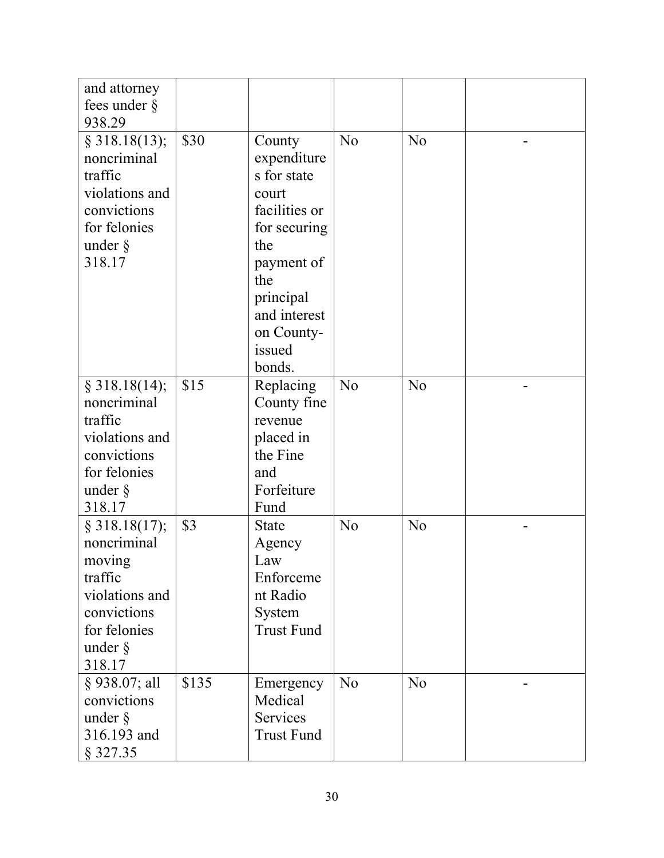| and attorney<br>fees under $\S$<br>938.29                                                                                  |       |                                                                                                                                                                           |                |                |  |
|----------------------------------------------------------------------------------------------------------------------------|-------|---------------------------------------------------------------------------------------------------------------------------------------------------------------------------|----------------|----------------|--|
| $§$ 318.18(13);<br>noncriminal<br>traffic<br>violations and<br>convictions<br>for felonies<br>under $\S$<br>318.17         | \$30  | County<br>expenditure<br>s for state<br>court<br>facilities or<br>for securing<br>the<br>payment of<br>the<br>principal<br>and interest<br>on County-<br>issued<br>bonds. | N <sub>o</sub> | N <sub>o</sub> |  |
| § 318.18(14);<br>noncriminal<br>traffic<br>violations and<br>convictions<br>for felonies<br>under $\S$<br>318.17           | \$15  | Replacing<br>County fine<br>revenue<br>placed in<br>the Fine<br>and<br>Forfeiture<br>Fund                                                                                 | N <sub>o</sub> | N <sub>o</sub> |  |
| § 318.18(17);<br>noncriminal<br>moving<br>traffic<br>violations and<br>convictions<br>for felonies<br>under $\S$<br>318.17 | \$3   | <b>State</b><br>Agency<br>Law<br>Enforceme<br>nt Radio<br>System<br><b>Trust Fund</b>                                                                                     | N <sub>o</sub> | N <sub>o</sub> |  |
| § 938.07; all<br>convictions<br>under $\S$<br>316.193 and<br>§ 327.35                                                      | \$135 | Emergency<br>Medical<br>Services<br><b>Trust Fund</b>                                                                                                                     | N <sub>o</sub> | N <sub>o</sub> |  |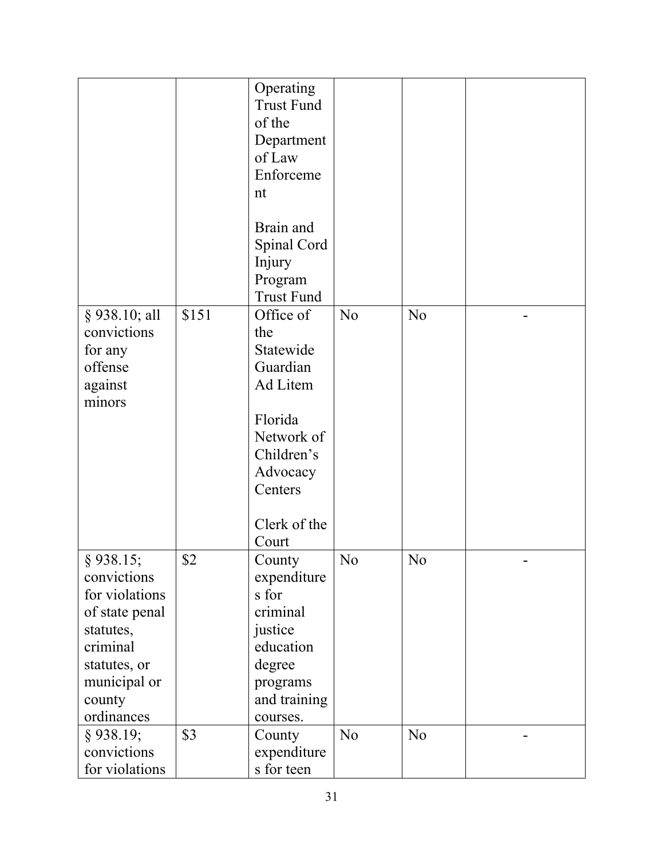|                                                                                                                                                 |       | Operating<br><b>Trust Fund</b><br>of the<br>Department<br>of Law<br>Enforceme<br>nt<br>Brain and<br>Spinal Cord<br>Injury<br>Program<br><b>Trust Fund</b> |                |                |  |
|-------------------------------------------------------------------------------------------------------------------------------------------------|-------|-----------------------------------------------------------------------------------------------------------------------------------------------------------|----------------|----------------|--|
| $§$ 938.10; all<br>convictions<br>for any<br>offense<br>against<br>minors                                                                       | \$151 | Office of<br>the<br>Statewide<br>Guardian<br>Ad Litem<br>Florida<br>Network of<br>Children's<br>Advocacy<br>Centers<br>Clerk of the<br>Court              | N <sub>o</sub> | N <sub>o</sub> |  |
| $§$ 938.15;<br>convictions<br>for violations<br>of state penal<br>statutes,<br>criminal<br>statutes, or<br>municipal or<br>county<br>ordinances | \$2   | County<br>expenditure<br>s for<br>criminal<br>justice<br>education<br>degree<br>programs<br>and training<br>courses.                                      | No             | No             |  |
| $§$ 938.19;<br>convictions<br>for violations                                                                                                    | \$3   | County<br>expenditure<br>s for teen                                                                                                                       | N <sub>o</sub> | N <sub>o</sub> |  |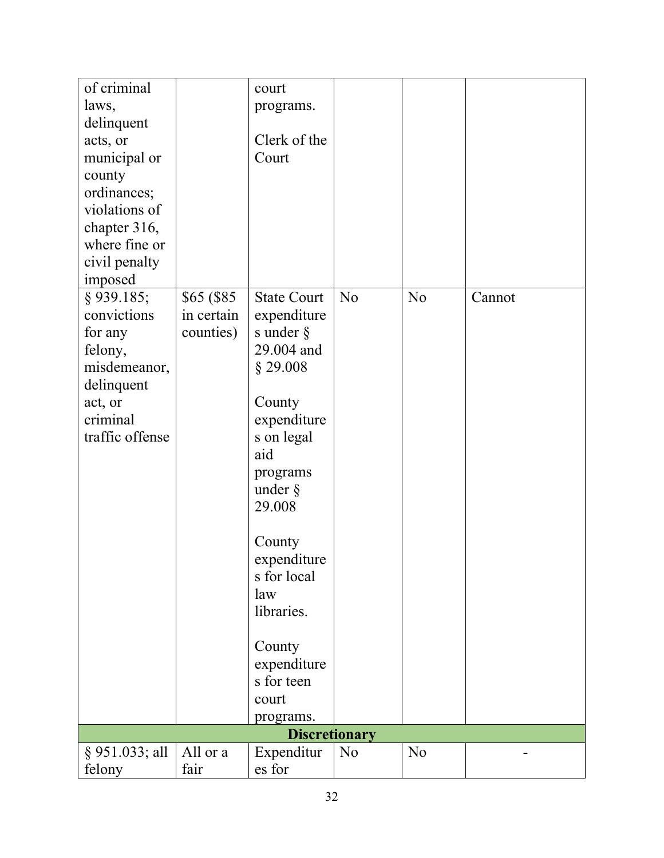| of criminal<br>laws,<br>delinquent<br>acts, or<br>municipal or<br>county<br>ordinances;<br>violations of<br>chapter 316,<br>where fine or<br>civil penalty<br>imposed |                                        | court<br>programs.<br>Clerk of the<br>Court                                                                                                                                                                                                                                               |                |                |        |
|-----------------------------------------------------------------------------------------------------------------------------------------------------------------------|----------------------------------------|-------------------------------------------------------------------------------------------------------------------------------------------------------------------------------------------------------------------------------------------------------------------------------------------|----------------|----------------|--------|
| $§$ 939.185;<br>convictions<br>for any<br>felony,<br>misdemeanor,<br>delinquent<br>act, or<br>criminal<br>traffic offense                                             | \$65 (\$85)<br>in certain<br>counties) | <b>State Court</b><br>expenditure<br>s under $\S$<br>29.004 and<br>$§$ 29.008<br>County<br>expenditure<br>s on legal<br>aid<br>programs<br>under $\S$<br>29.008<br>County<br>expenditure<br>s for local<br>law<br>libraries.<br>County<br>expenditure<br>s for teen<br>court<br>programs. | N <sub>o</sub> | N <sub>o</sub> | Cannot |
|                                                                                                                                                                       |                                        | <b>Discretionary</b>                                                                                                                                                                                                                                                                      |                |                |        |
| § 951.033; all<br>felony                                                                                                                                              | All or a<br>fair                       | Expenditur<br>es for                                                                                                                                                                                                                                                                      | N <sub>o</sub> | N <sub>o</sub> |        |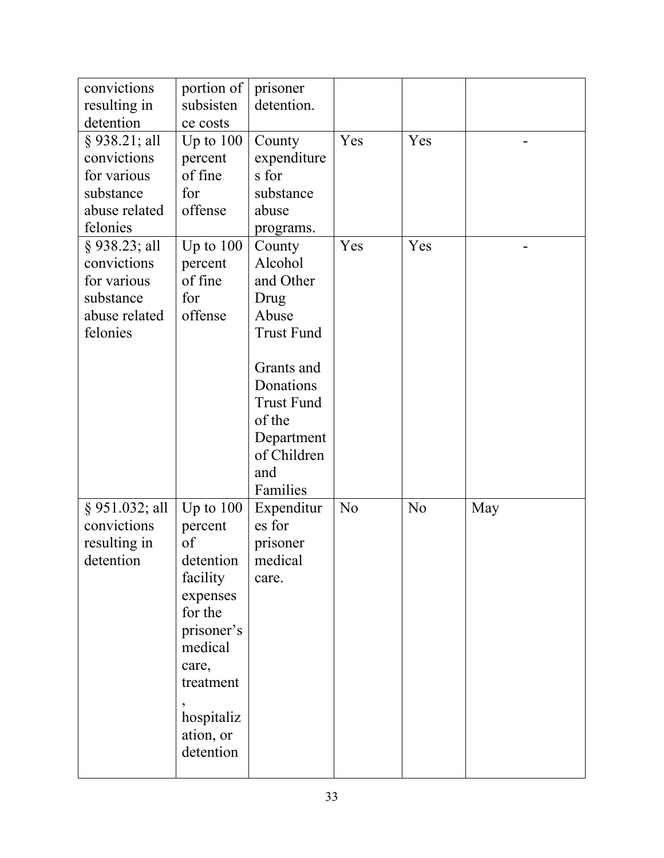| convictions                    | portion of         | prisoner             |                |                |     |
|--------------------------------|--------------------|----------------------|----------------|----------------|-----|
| resulting in                   | subsisten          | detention.           |                |                |     |
| detention                      | ce costs           |                      |                |                |     |
| § 938.21; all                  | Up to $100$        | County               | Yes            | Yes            |     |
| convictions                    | percent            | expenditure          |                |                |     |
| for various                    | of fine            | s for                |                |                |     |
| substance                      | for                | substance            |                |                |     |
| abuse related                  | offense            | abuse                |                |                |     |
| felonies                       |                    |                      |                |                |     |
|                                |                    | programs.            | Yes            | Yes            |     |
| $§$ 938.23; all<br>convictions | Up to $100$        | County<br>Alcohol    |                |                |     |
| for various                    | percent<br>of fine | and Other            |                |                |     |
| substance                      | for                |                      |                |                |     |
| abuse related                  | offense            | Drug<br>Abuse        |                |                |     |
| felonies                       |                    | <b>Trust Fund</b>    |                |                |     |
|                                |                    |                      |                |                |     |
|                                |                    | Grants and           |                |                |     |
|                                |                    | Donations            |                |                |     |
|                                |                    | <b>Trust Fund</b>    |                |                |     |
|                                |                    | of the               |                |                |     |
|                                |                    | Department           |                |                |     |
|                                |                    | of Children          |                |                |     |
|                                |                    | and                  |                |                |     |
|                                |                    | Families             |                |                |     |
| $§$ 951.032; all               |                    |                      | N <sub>o</sub> | N <sub>o</sub> |     |
| convictions                    | Up to $100$        | Expenditur<br>es for |                |                | May |
| resulting in                   | percent<br>of      | prisoner             |                |                |     |
|                                |                    |                      |                |                |     |
| detention                      | detention          | medical              |                |                |     |
|                                | facility           | care.                |                |                |     |
|                                | expenses           |                      |                |                |     |
|                                | for the            |                      |                |                |     |
|                                | prisoner's         |                      |                |                |     |
|                                | medical            |                      |                |                |     |
|                                | care,              |                      |                |                |     |
|                                | treatment          |                      |                |                |     |
|                                |                    |                      |                |                |     |
|                                | hospitaliz         |                      |                |                |     |
|                                | ation, or          |                      |                |                |     |
|                                | detention          |                      |                |                |     |
|                                |                    |                      |                |                |     |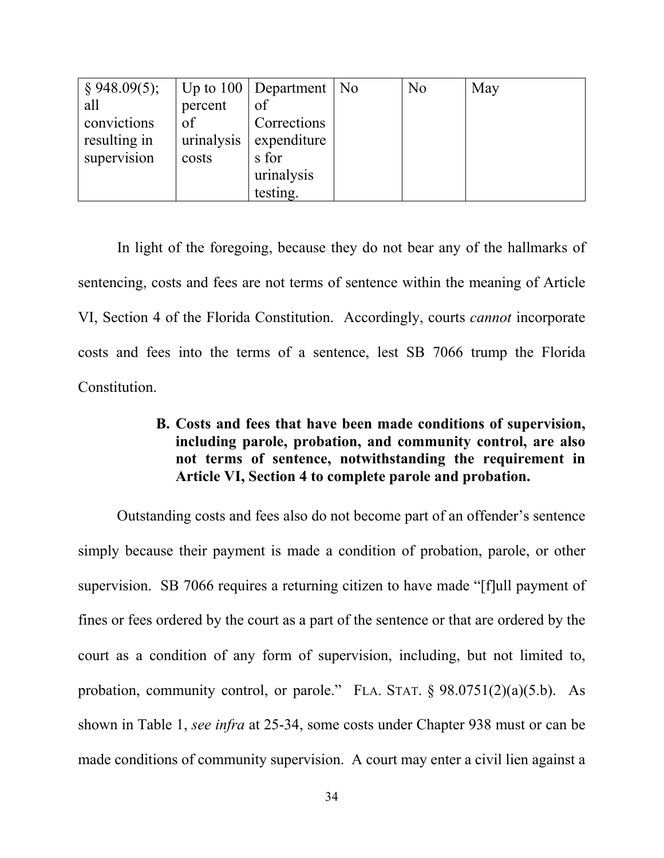| $\S$ 948.09(5); |            | Up to $100$ Department   No | No | May |
|-----------------|------------|-----------------------------|----|-----|
| all             | percent    | of                          |    |     |
| convictions     | of         | Corrections                 |    |     |
| resulting in    | urinalysis | expenditure                 |    |     |
| supervision     | costs      | s for                       |    |     |
|                 |            | urinalysis                  |    |     |
|                 |            | testing.                    |    |     |

In light of the foregoing, because they do not bear any of the hallmarks of sentencing, costs and fees are not terms of sentence within the meaning of Article VI, Section 4 of the Florida Constitution. Accordingly, courts *cannot* incorporate costs and fees into the terms of a sentence, lest SB 7066 trump the Florida Constitution.

# **B. Costs and fees that have been made conditions of supervision, including parole, probation, and community control, are also not terms of sentence, notwithstanding the requirement in Article VI, Section 4 to complete parole and probation.**

Outstanding costs and fees also do not become part of an offender's sentence simply because their payment is made a condition of probation, parole, or other supervision. SB 7066 requires a returning citizen to have made "[f]ull payment of fines or fees ordered by the court as a part of the sentence or that are ordered by the court as a condition of any form of supervision, including, but not limited to, probation, community control, or parole." FLA. STAT. § 98.0751(2)(a)(5.b). As shown in Table 1, *see infra* at 25-34, some costs under Chapter 938 must or can be made conditions of community supervision. A court may enter a civil lien against a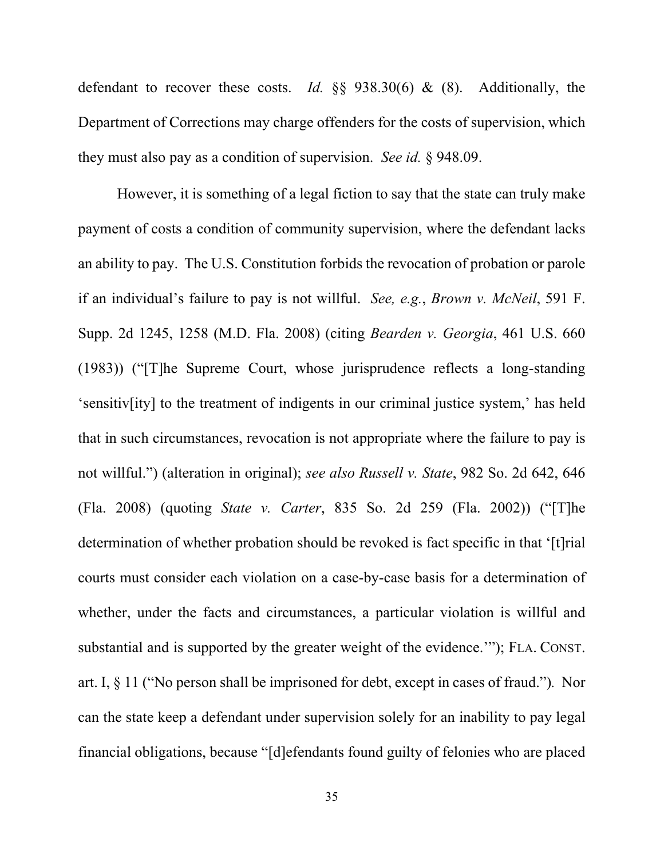defendant to recover these costs. *Id.* §§ 938.30(6) & (8). Additionally, the Department of Corrections may charge offenders for the costs of supervision, which they must also pay as a condition of supervision. *See id.* § 948.09.

However, it is something of a legal fiction to say that the state can truly make payment of costs a condition of community supervision, where the defendant lacks an ability to pay. The U.S. Constitution forbids the revocation of probation or parole if an individual's failure to pay is not willful. *See, e.g.*, *Brown v. McNeil*, 591 F. Supp. 2d 1245, 1258 (M.D. Fla. 2008) (citing *Bearden v. Georgia*, 461 U.S. 660 (1983)) ("[T]he Supreme Court, whose jurisprudence reflects a long-standing 'sensitiv[ity] to the treatment of indigents in our criminal justice system,' has held that in such circumstances, revocation is not appropriate where the failure to pay is not willful.") (alteration in original); *see also Russell v. State*, 982 So. 2d 642, 646 (Fla. 2008) (quoting *State v. Carter*, 835 So. 2d 259 (Fla. 2002)) ("[T]he determination of whether probation should be revoked is fact specific in that '[t]rial courts must consider each violation on a case-by-case basis for a determination of whether, under the facts and circumstances, a particular violation is willful and substantial and is supported by the greater weight of the evidence.'"); FLA. CONST. art. I, § 11 ("No person shall be imprisoned for debt, except in cases of fraud.")*.* Nor can the state keep a defendant under supervision solely for an inability to pay legal financial obligations, because "[d]efendants found guilty of felonies who are placed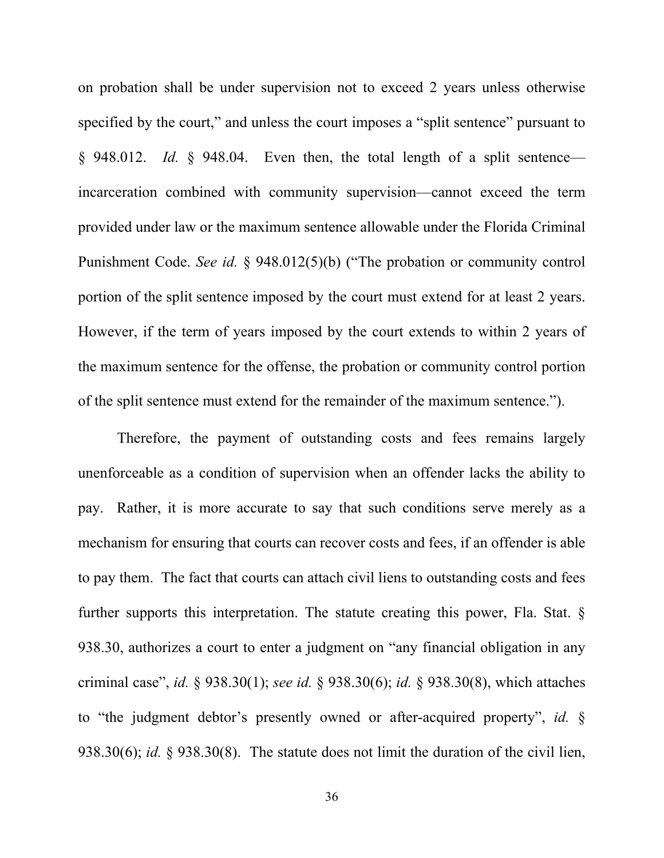on probation shall be under supervision not to exceed 2 years unless otherwise specified by the court," and unless the court imposes a "split sentence" pursuant to § 948.012. *Id.* § 948.04. Even then, the total length of a split sentence incarceration combined with community supervision—cannot exceed the term provided under law or the maximum sentence allowable under the Florida Criminal Punishment Code. *See id.* § 948.012(5)(b) ("The probation or community control portion of the split sentence imposed by the court must extend for at least 2 years. However, if the term of years imposed by the court extends to within 2 years of the maximum sentence for the offense, the probation or community control portion of the split sentence must extend for the remainder of the maximum sentence.").

Therefore, the payment of outstanding costs and fees remains largely unenforceable as a condition of supervision when an offender lacks the ability to pay. Rather, it is more accurate to say that such conditions serve merely as a mechanism for ensuring that courts can recover costs and fees, if an offender is able to pay them. The fact that courts can attach civil liens to outstanding costs and fees further supports this interpretation. The statute creating this power, Fla. Stat. § 938.30, authorizes a court to enter a judgment on "any financial obligation in any criminal case", *id.* § 938.30(1); *see id.* § 938.30(6); *id.* § 938.30(8), which attaches to "the judgment debtor's presently owned or after-acquired property", *id.* § 938.30(6); *id.* § 938.30(8). The statute does not limit the duration of the civil lien,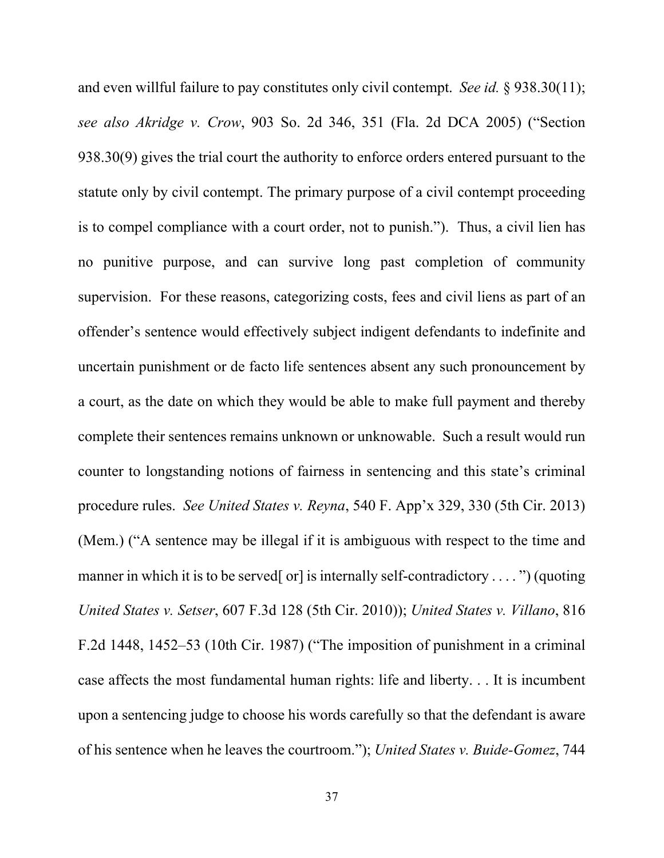and even willful failure to pay constitutes only civil contempt. *See id.* § 938.30(11); *see also Akridge v. Crow*, 903 So. 2d 346, 351 (Fla. 2d DCA 2005) ("Section 938.30(9) gives the trial court the authority to enforce orders entered pursuant to the statute only by civil contempt. The primary purpose of a civil contempt proceeding is to compel compliance with a court order, not to punish.").Thus, a civil lien has no punitive purpose, and can survive long past completion of community supervision. For these reasons, categorizing costs, fees and civil liens as part of an offender's sentence would effectively subject indigent defendants to indefinite and uncertain punishment or de facto life sentences absent any such pronouncement by a court, as the date on which they would be able to make full payment and thereby complete their sentences remains unknown or unknowable. Such a result would run counter to longstanding notions of fairness in sentencing and this state's criminal procedure rules. *See United States v. Reyna*, 540 F. App'x 329, 330 (5th Cir. 2013) (Mem.) ("A sentence may be illegal if it is ambiguous with respect to the time and manner in which it is to be served [or] is internally self-contradictory  $\dots$  ") (quoting *United States v. Setser*, 607 F.3d 128 (5th Cir. 2010)); *United States v. Villano*, 816 F.2d 1448, 1452–53 (10th Cir. 1987) ("The imposition of punishment in a criminal case affects the most fundamental human rights: life and liberty. . . It is incumbent upon a sentencing judge to choose his words carefully so that the defendant is aware of his sentence when he leaves the courtroom."); *United States v. Buide-Gomez*, 744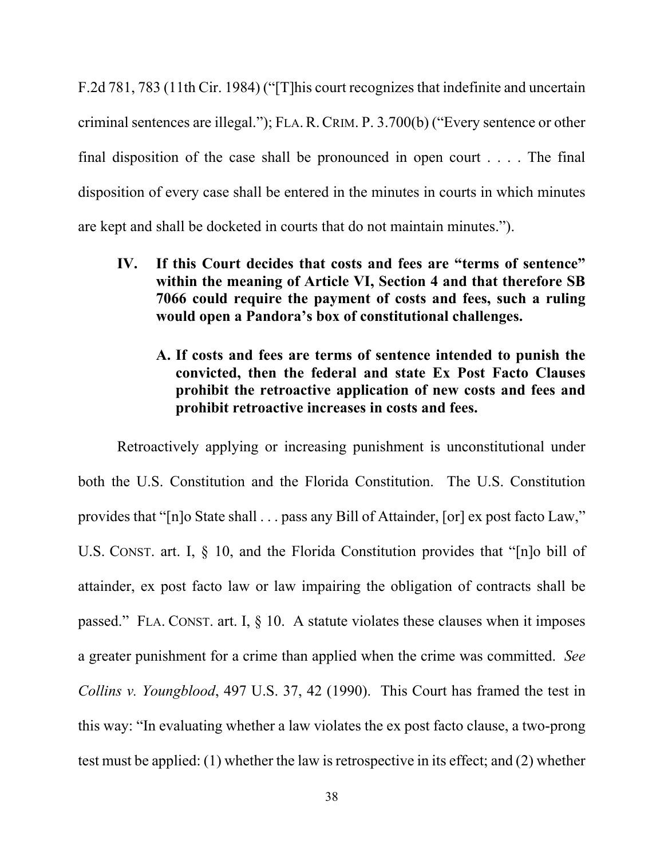F.2d 781, 783 (11th Cir. 1984) ("[T]his court recognizes that indefinite and uncertain criminal sentences are illegal."); FLA.R.CRIM. P. 3.700(b) ("Every sentence or other final disposition of the case shall be pronounced in open court  $\dots$ . The final disposition of every case shall be entered in the minutes in courts in which minutes are kept and shall be docketed in courts that do not maintain minutes.").

- **IV. If this Court decides that costs and fees are "terms of sentence" within the meaning of Article VI, Section 4 and that therefore SB 7066 could require the payment of costs and fees, such a ruling would open a Pandora's box of constitutional challenges.** 
	- **A. If costs and fees are terms of sentence intended to punish the convicted, then the federal and state Ex Post Facto Clauses prohibit the retroactive application of new costs and fees and prohibit retroactive increases in costs and fees.**

Retroactively applying or increasing punishment is unconstitutional under both the U.S. Constitution and the Florida Constitution. The U.S. Constitution provides that "[n]o State shall . . . pass any Bill of Attainder, [or] ex post facto Law," U.S. CONST. art. I, § 10, and the Florida Constitution provides that "[n]o bill of attainder, ex post facto law or law impairing the obligation of contracts shall be passed." FLA. CONST. art. I,  $\S$  10. A statute violates these clauses when it imposes a greater punishment for a crime than applied when the crime was committed. *See Collins v. Youngblood*, 497 U.S. 37, 42 (1990). This Court has framed the test in this way: "In evaluating whether a law violates the ex post facto clause, a two-prong test must be applied: (1) whether the law is retrospective in its effect; and (2) whether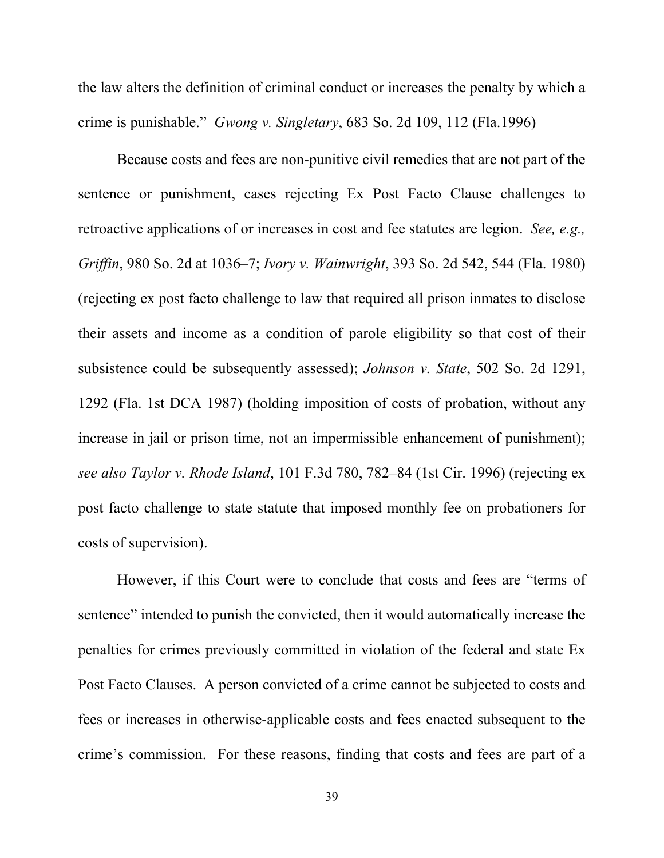the law alters the definition of criminal conduct or increases the penalty by which a crime is punishable." *Gwong v. Singletary*, 683 So. 2d 109, 112 (Fla.1996)

Because costs and fees are non-punitive civil remedies that are not part of the sentence or punishment, cases rejecting Ex Post Facto Clause challenges to retroactive applications of or increases in cost and fee statutes are legion. *See, e.g., Griffin*, 980 So. 2d at 1036–7; *Ivory v. Wainwright*, 393 So. 2d 542, 544 (Fla. 1980) (rejecting ex post facto challenge to law that required all prison inmates to disclose their assets and income as a condition of parole eligibility so that cost of their subsistence could be subsequently assessed); *Johnson v. State*, 502 So. 2d 1291, 1292 (Fla. 1st DCA 1987) (holding imposition of costs of probation, without any increase in jail or prison time, not an impermissible enhancement of punishment); *see also Taylor v. Rhode Island*, 101 F.3d 780, 782–84 (1st Cir. 1996) (rejecting ex post facto challenge to state statute that imposed monthly fee on probationers for costs of supervision).

However, if this Court were to conclude that costs and fees are "terms of sentence" intended to punish the convicted, then it would automatically increase the penalties for crimes previously committed in violation of the federal and state Ex Post Facto Clauses. A person convicted of a crime cannot be subjected to costs and fees or increases in otherwise-applicable costs and fees enacted subsequent to the crime's commission. For these reasons, finding that costs and fees are part of a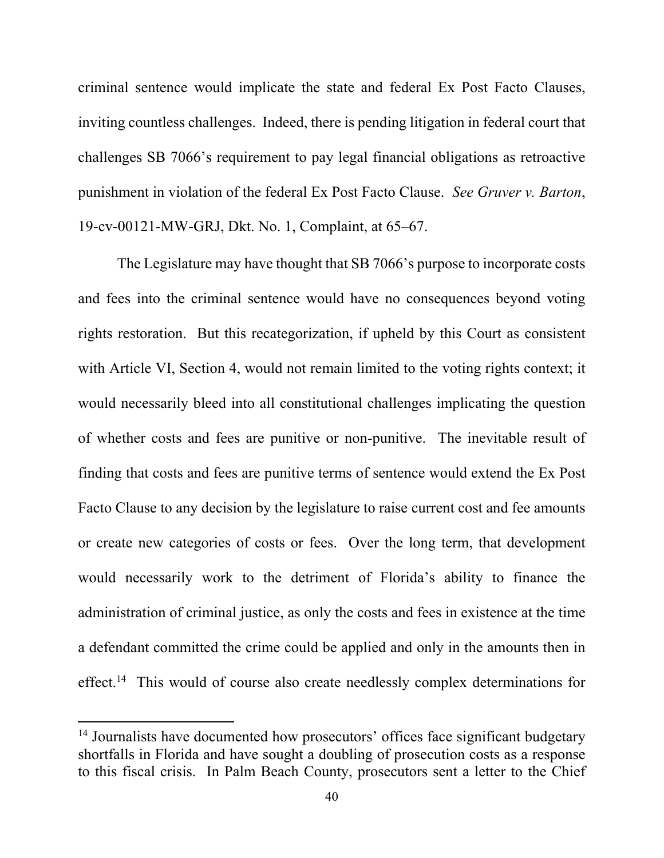criminal sentence would implicate the state and federal Ex Post Facto Clauses, inviting countless challenges. Indeed, there is pending litigation in federal court that challenges SB 7066's requirement to pay legal financial obligations as retroactive punishment in violation of the federal Ex Post Facto Clause. *See Gruver v. Barton*, 19-cv-00121-MW-GRJ, Dkt. No. 1, Complaint, at 65–67.

The Legislature may have thought that SB 7066's purpose to incorporate costs and fees into the criminal sentence would have no consequences beyond voting rights restoration. But this recategorization, if upheld by this Court as consistent with Article VI, Section 4, would not remain limited to the voting rights context; it would necessarily bleed into all constitutional challenges implicating the question of whether costs and fees are punitive or non-punitive. The inevitable result of finding that costs and fees are punitive terms of sentence would extend the Ex Post Facto Clause to any decision by the legislature to raise current cost and fee amounts or create new categories of costs or fees. Over the long term, that development would necessarily work to the detriment of Florida's ability to finance the administration of criminal justice, as only the costs and fees in existence at the time a defendant committed the crime could be applied and only in the amounts then in effect.<sup>14</sup> This would of course also create needlessly complex determinations for

<sup>&</sup>lt;sup>14</sup> Journalists have documented how prosecutors' offices face significant budgetary shortfalls in Florida and have sought a doubling of prosecution costs as a response to this fiscal crisis. In Palm Beach County, prosecutors sent a letter to the Chief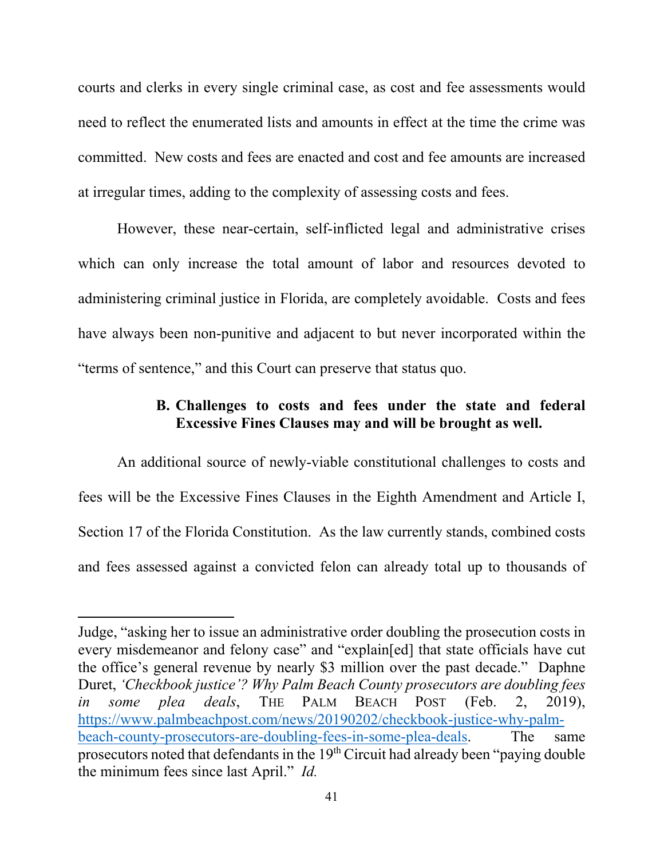courts and clerks in every single criminal case, as cost and fee assessments would need to reflect the enumerated lists and amounts in effect at the time the crime was committed. New costs and fees are enacted and cost and fee amounts are increased at irregular times, adding to the complexity of assessing costs and fees.

However, these near-certain, self-inflicted legal and administrative crises which can only increase the total amount of labor and resources devoted to administering criminal justice in Florida, are completely avoidable. Costs and fees have always been non-punitive and adjacent to but never incorporated within the "terms of sentence," and this Court can preserve that status quo.

## **B. Challenges to costs and fees under the state and federal Excessive Fines Clauses may and will be brought as well.**

An additional source of newly-viable constitutional challenges to costs and fees will be the Excessive Fines Clauses in the Eighth Amendment and Article I, Section 17 of the Florida Constitution. As the law currently stands, combined costs and fees assessed against a convicted felon can already total up to thousands of

Judge, "asking her to issue an administrative order doubling the prosecution costs in every misdemeanor and felony case" and "explain[ed] that state officials have cut the office's general revenue by nearly \$3 million over the past decade." Daphne Duret, *'Checkbook justice'? Why Palm Beach County prosecutors are doubling fees in some plea deals*, THE PALM BEACH POST (Feb. 2, 2019), https://www.palmbeachpost.com/news/20190202/checkbook-justice-why-palmbeach-county-prosecutors-are-doubling-fees-in-some-plea-deals. The same prosecutors noted that defendants in the 19th Circuit had already been "paying double the minimum fees since last April." *Id.*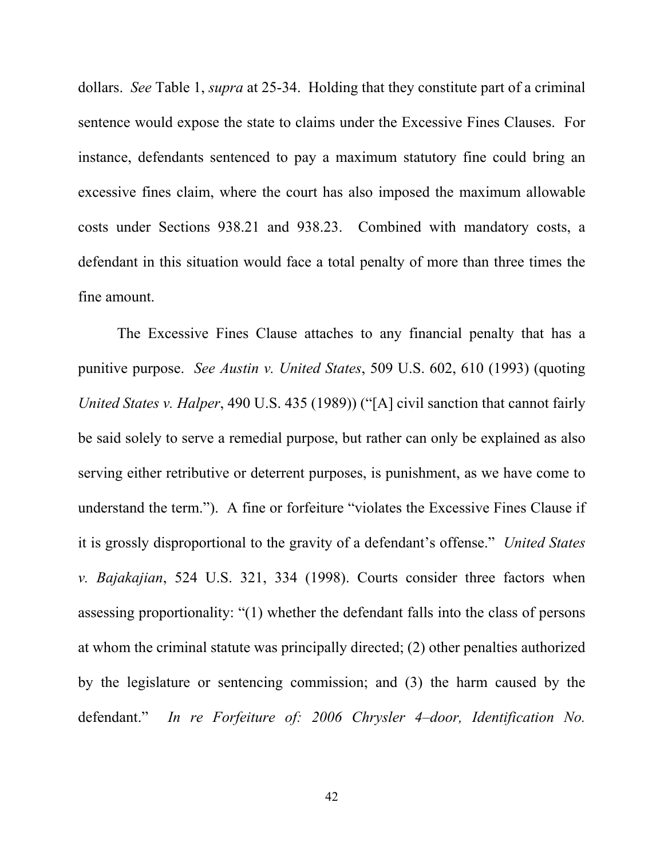dollars. *See* Table 1, *supra* at 25-34. Holding that they constitute part of a criminal sentence would expose the state to claims under the Excessive Fines Clauses. For instance, defendants sentenced to pay a maximum statutory fine could bring an excessive fines claim, where the court has also imposed the maximum allowable costs under Sections 938.21 and 938.23. Combined with mandatory costs, a defendant in this situation would face a total penalty of more than three times the fine amount.

The Excessive Fines Clause attaches to any financial penalty that has a punitive purpose. *See Austin v. United States*, 509 U.S. 602, 610 (1993) (quoting *United States v. Halper*, 490 U.S. 435 (1989)) ("[A] civil sanction that cannot fairly be said solely to serve a remedial purpose, but rather can only be explained as also serving either retributive or deterrent purposes, is punishment, as we have come to understand the term.").A fine or forfeiture "violates the Excessive Fines Clause if it is grossly disproportional to the gravity of a defendant's offense." *United States v. Bajakajian*, 524 U.S. 321, 334 (1998). Courts consider three factors when assessing proportionality: "(1) whether the defendant falls into the class of persons at whom the criminal statute was principally directed; (2) other penalties authorized by the legislature or sentencing commission; and (3) the harm caused by the defendant." *In re Forfeiture of: 2006 Chrysler 4–door, Identification No.*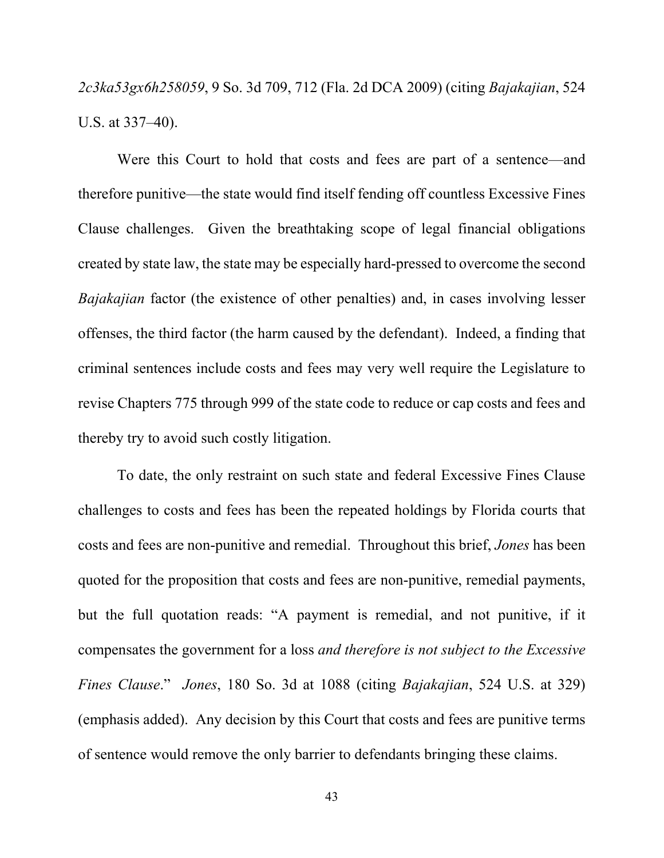*2c3ka53gx6h258059*, 9 So. 3d 709, 712 (Fla. 2d DCA 2009) (citing *Bajakajian*, 524 U.S. at 337–40).

Were this Court to hold that costs and fees are part of a sentence—and therefore punitive—the state would find itself fending off countless Excessive Fines Clause challenges. Given the breathtaking scope of legal financial obligations created by state law, the state may be especially hard-pressed to overcome the second *Bajakajian* factor (the existence of other penalties) and, in cases involving lesser offenses, the third factor (the harm caused by the defendant). Indeed, a finding that criminal sentences include costs and fees may very well require the Legislature to revise Chapters 775 through 999 of the state code to reduce or cap costs and fees and thereby try to avoid such costly litigation.

To date, the only restraint on such state and federal Excessive Fines Clause challenges to costs and fees has been the repeated holdings by Florida courts that costs and fees are non-punitive and remedial. Throughout this brief, *Jones* has been quoted for the proposition that costs and fees are non-punitive, remedial payments, but the full quotation reads: "A payment is remedial, and not punitive, if it compensates the government for a loss *and therefore is not subject to the Excessive Fines Clause*." *Jones*, 180 So. 3d at 1088 (citing *Bajakajian*, 524 U.S. at 329) (emphasis added). Any decision by this Court that costs and fees are punitive terms of sentence would remove the only barrier to defendants bringing these claims.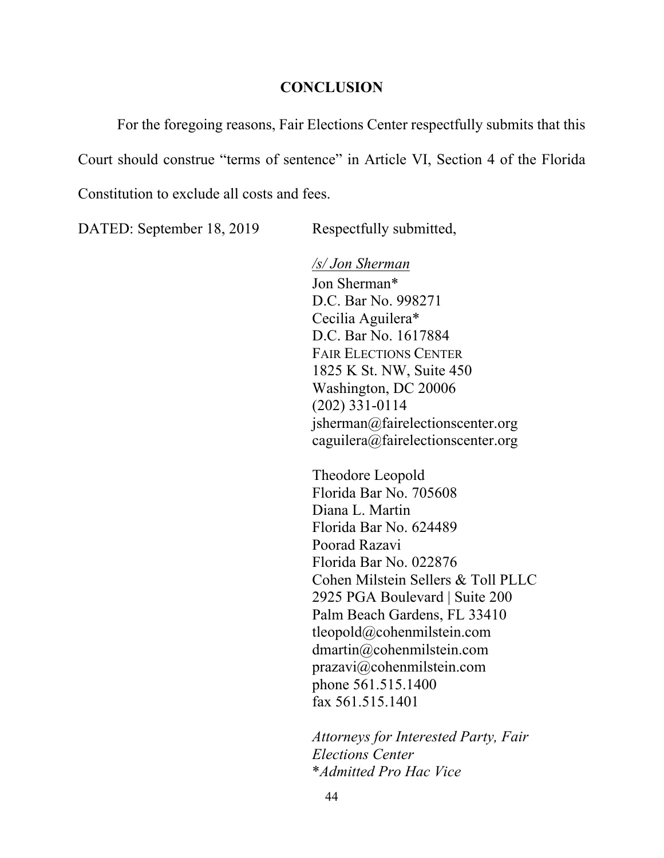#### **CONCLUSION**

For the foregoing reasons, Fair Elections Center respectfully submits that this Court should construe "terms of sentence" in Article VI, Section 4 of the Florida Constitution to exclude all costs and fees.

DATED: September 18, 2019 Respectfully submitted,

 */s/ Jon Sherman*  Jon Sherman\* D.C. Bar No. 998271 Cecilia Aguilera\* D.C. Bar No. 1617884 FAIR ELECTIONS CENTER 1825 K St. NW, Suite 450 Washington, DC 20006 (202) 331-0114 jsherman@fairelectionscenter.org caguilera@fairelectionscenter.org

Theodore Leopold Florida Bar No. 705608 Diana L. Martin Florida Bar No. 624489 Poorad Razavi Florida Bar No. 022876 Cohen Milstein Sellers & Toll PLLC 2925 PGA Boulevard | Suite 200 Palm Beach Gardens, FL 33410 tleopold@cohenmilstein.com dmartin@cohenmilstein.com prazavi@cohenmilstein.com phone 561.515.1400 fax 561.515.1401

*Attorneys for Interested Party, Fair Elections Center*  \**Admitted Pro Hac Vice*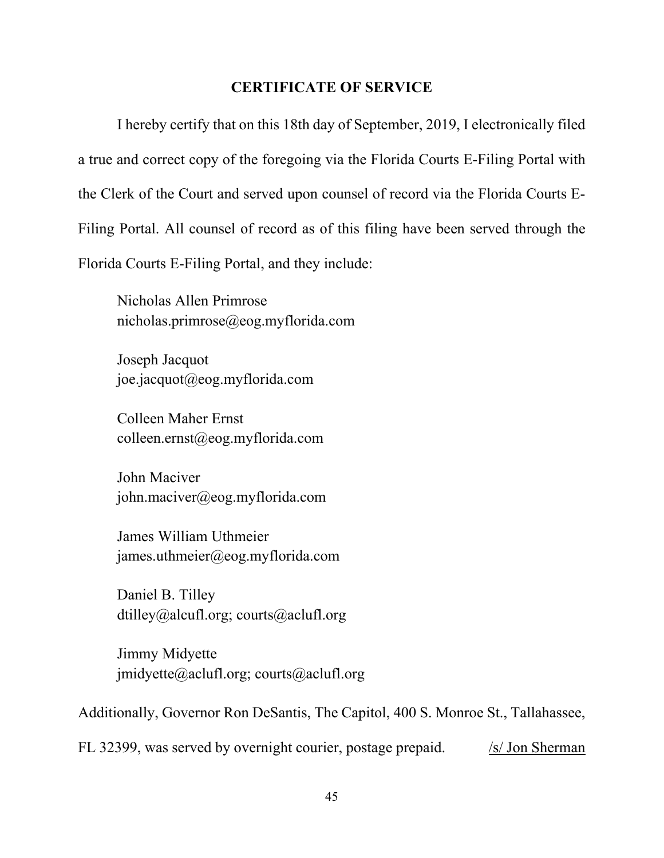#### **CERTIFICATE OF SERVICE**

I hereby certify that on this 18th day of September, 2019, I electronically filed a true and correct copy of the foregoing via the Florida Courts E-Filing Portal with the Clerk of the Court and served upon counsel of record via the Florida Courts E-Filing Portal. All counsel of record as of this filing have been served through the Florida Courts E-Filing Portal, and they include:

Nicholas Allen Primrose nicholas.primrose@eog.myflorida.com

Joseph Jacquot joe.jacquot@eog.myflorida.com

Colleen Maher Ernst colleen.ernst@eog.myflorida.com

John Maciver john.maciver@eog.myflorida.com

James William Uthmeier james.uthmeier@eog.myflorida.com

Daniel B. Tilley dtilley@alcufl.org; courts@aclufl.org

Jimmy Midyette jmidyette@aclufl.org; courts@aclufl.org

Additionally, Governor Ron DeSantis, The Capitol, 400 S. Monroe St., Tallahassee,

FL 32399, was served by overnight courier, postage prepaid. /s/ Jon Sherman